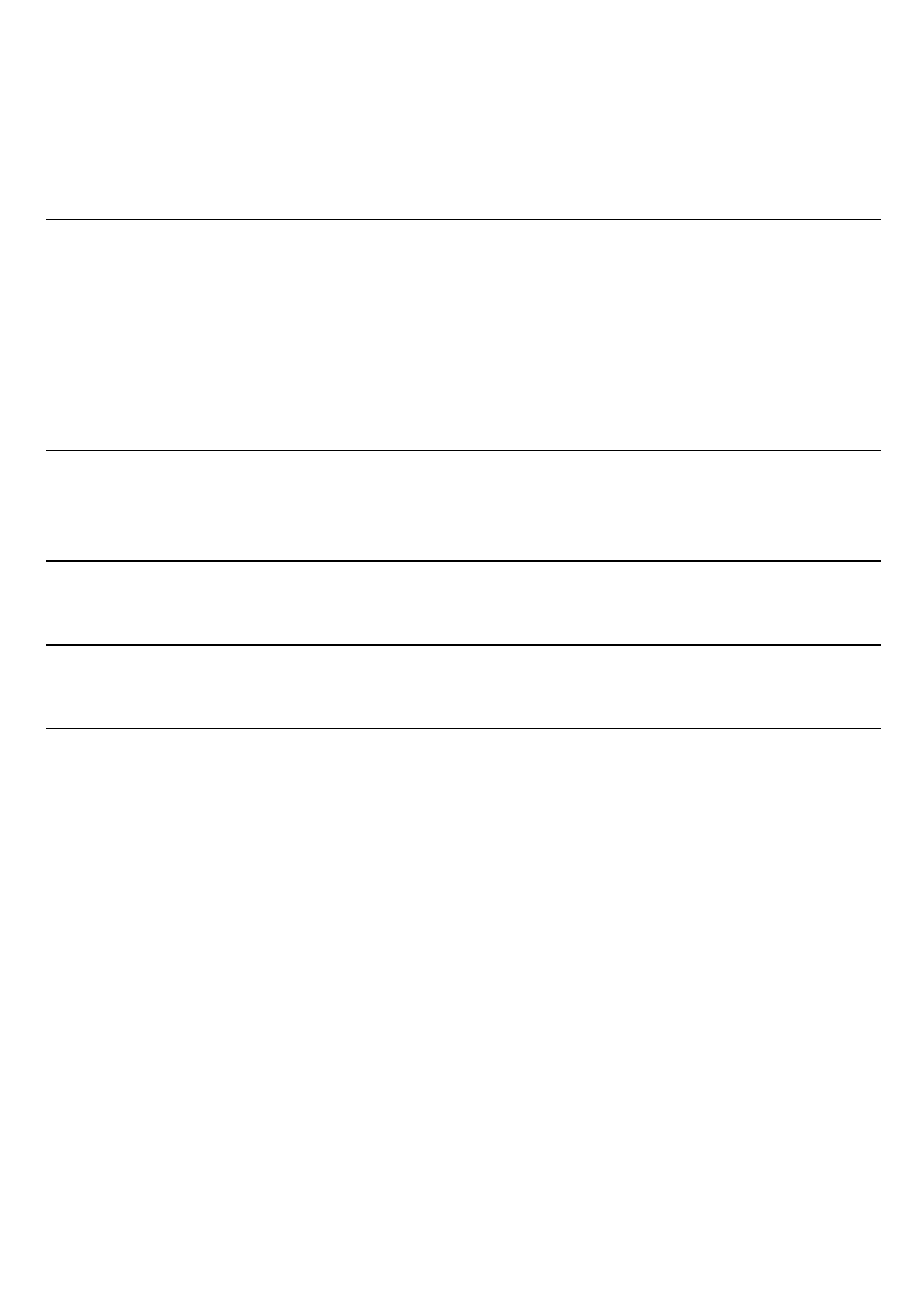# Effects of truffle inoculation on a nursery culture substrate environment and seedling of Carya illinoinensis

Huang, Yue

2021-07

Huang, Y, Zou, J, Kang, Z, Zhang, X, Penttinen, P, Zhang, X& Li, X 2021, 'Effects of truffle inoculation on a nursery culture substrate environment and seedling of Carya illinoinensis ' , Fungal Biology , vol. 125 , no. 7 , pp. 576-584 . https://doi.org/10.1016/j.funbio.2021.02.006

http://hdl.handle.net/10138/341318 https://doi.org/10.1016/j.funbio.2021.02.006

cc\_by\_nc\_nd acceptedVersion

Downloaded from Helda, University of Helsinki institutional repository.

This is an electronic reprint of the original article.

This reprint may differ from the original in pagination and typographic detail.

Please cite the original version.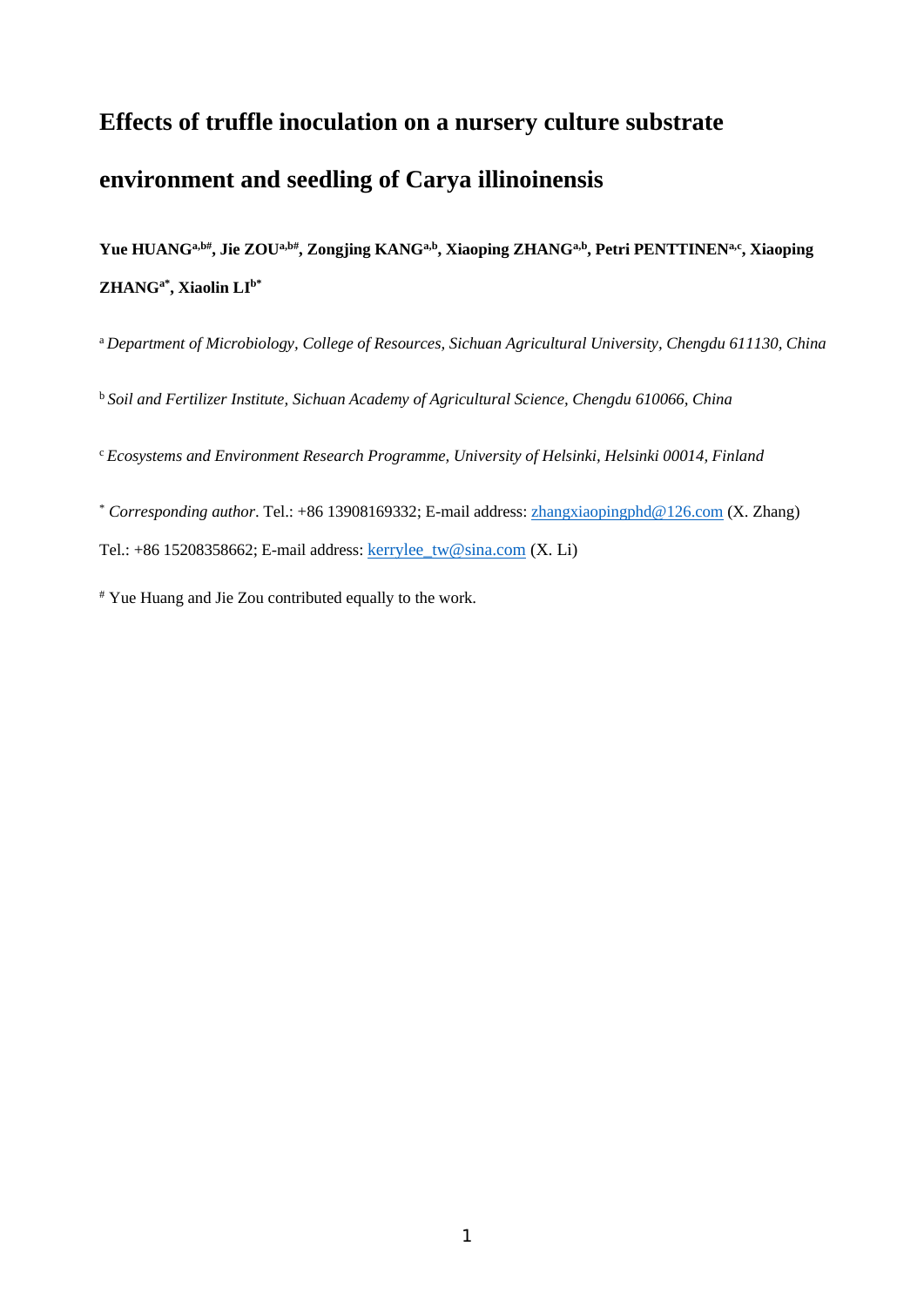# **Effects of truffle inoculation on a nursery culture substrate environment and seedling of Carya illinoinensis**

**Yue HUANGa,b# , Jie ZOUa,b# , Zongjing KANGa,b, Xiaoping ZHANGa,b , Petri PENTTINENa,c , Xiaoping ZHANGa\* , Xiaolin LIb\***

<sup>a</sup> *Department of Microbiology, College of Resources, Sichuan Agricultural University, Chengdu 611130, China*

<sup>b</sup> *Soil and Fertilizer Institute, Sichuan Academy of Agricultural Science, Chengdu 610066, China*

<sup>c</sup>*Ecosystems and Environment Research Programme, University of Helsinki, Helsinki 00014, Finland*

\* *Corresponding author*. Tel.: +86 13908169332; E-mail address: [zhangxiaopingphd@126.com](mailto:zhangxiaopingphd@126.com) (X. Zhang) Tel.:  $+86$  15208358662; E-mail address: [kerrylee\\_tw@sina.com](mailto:kerrylee_tw@sina.com) (X. Li)

# Yue Huang and Jie Zou contributed equally to the work.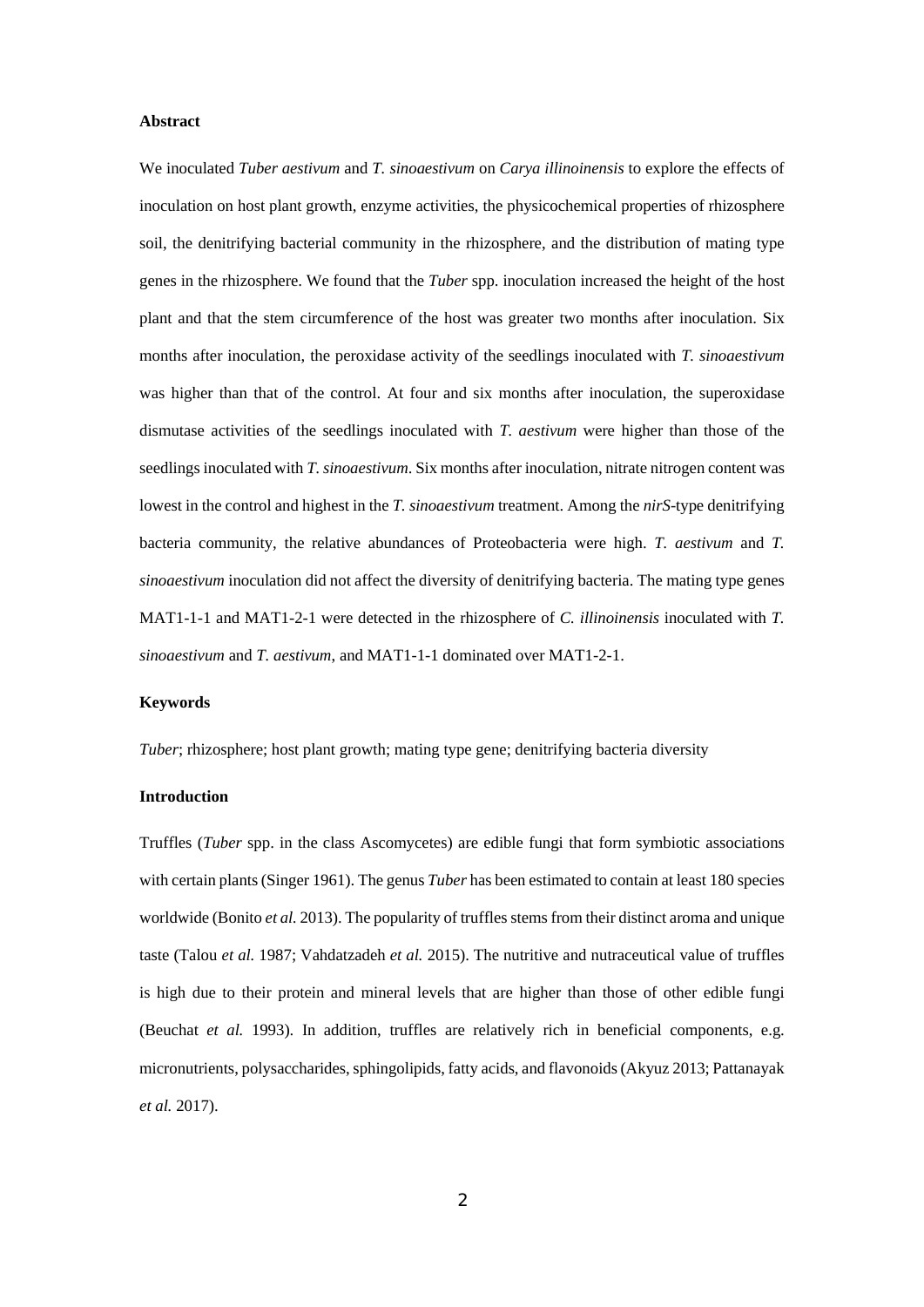#### **Abstract**

We inoculated *Tuber aestivum* and *T. sinoaestivum* on *Carya illinoinensis* to explore the effects of inoculation on host plant growth, enzyme activities, the physicochemical properties of rhizosphere soil, the denitrifying bacterial community in the rhizosphere, and the distribution of mating type genes in the rhizosphere. We found that the *Tuber* spp. inoculation increased the height of the host plant and that the stem circumference of the host was greater two months after inoculation. Six months after inoculation, the peroxidase activity of the seedlings inoculated with *T. sinoaestivum* was higher than that of the control. At four and six months after inoculation, the superoxidase dismutase activities of the seedlings inoculated with *T. aestivum* were higher than those of the seedlings inoculated with *T. sinoaestivum*. Six months after inoculation, nitrate nitrogen content was lowest in the control and highest in the *T. sinoaestivum* treatment. Among the *nirS*-type denitrifying bacteria community, the relative abundances of Proteobacteria were high. *T. aestivum* and *T. sinoaestivum* inoculation did not affect the diversity of denitrifying bacteria. The mating type genes MAT1-1-1 and MAT1-2-1 were detected in the rhizosphere of *C. illinoinensis* inoculated with *T. sinoaestivum* and *T. aestivum*, and MAT1-1-1 dominated over MAT1-2-1.

# **Keywords**

*Tuber*; rhizosphere; host plant growth; mating type gene; denitrifying bacteria diversity

# **Introduction**

Truffles (*Tuber* spp. in the class Ascomycetes) are edible fungi that form symbiotic associations with certain plants(Singer 1961). The genus *Tuber* has been estimated to contain at least 180 species worldwide (Bonito *et al.* 2013). The popularity of truffles stems from their distinct aroma and unique taste (Talou *et al.* 1987; Vahdatzadeh *et al.* 2015). The nutritive and nutraceutical value of truffles is high due to their protein and mineral levels that are higher than those of other edible fungi (Beuchat *et al.* 1993). In addition, truffles are relatively rich in beneficial components, e.g. micronutrients, polysaccharides, sphingolipids, fatty acids, and flavonoids (Akyuz 2013; Pattanayak *et al.* 2017).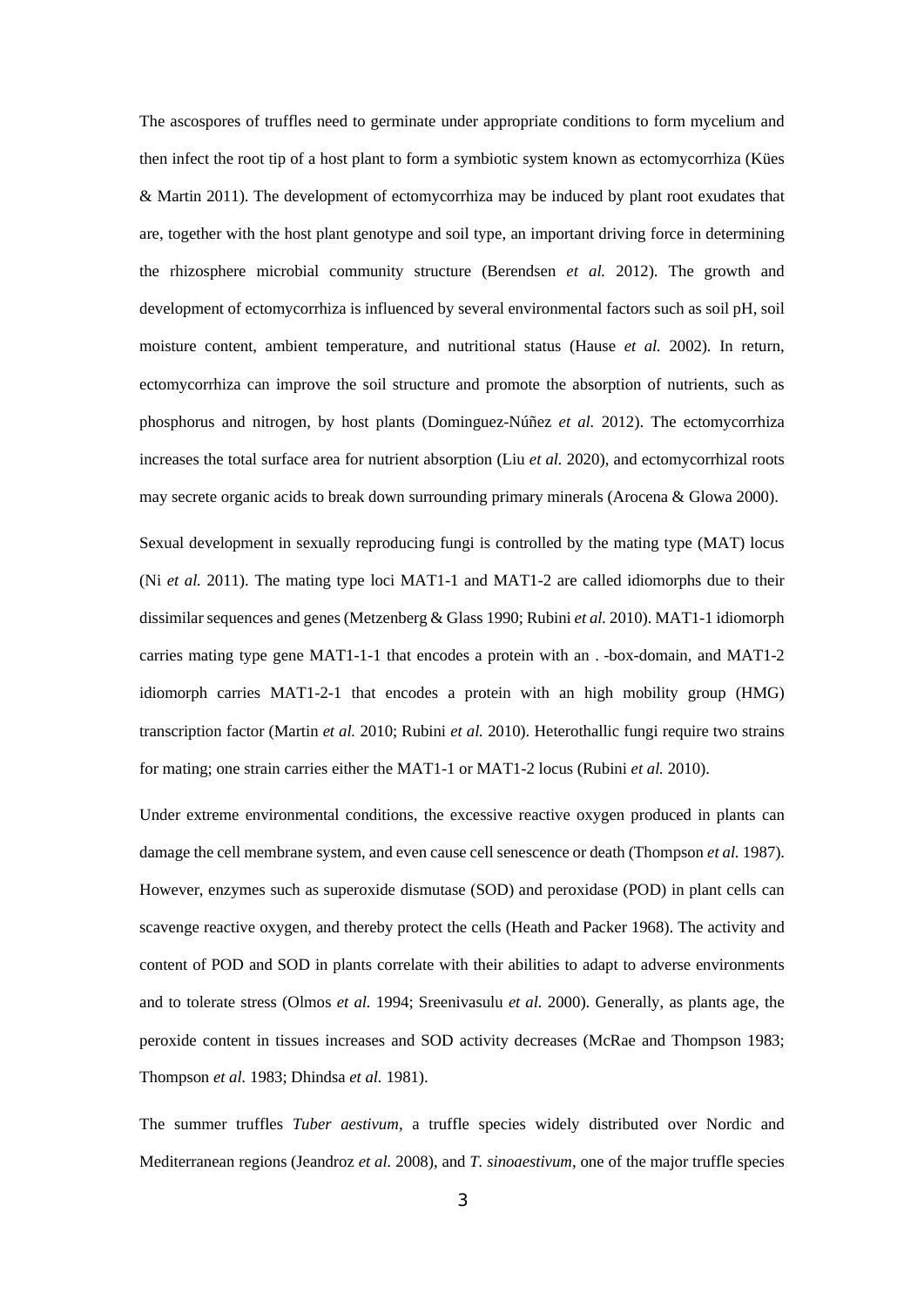The ascospores of truffles need to germinate under appropriate conditions to form mycelium and then infect the root tip of a host plant to form a symbiotic system known as ectomycorrhiza (Kües & Martin 2011). The development of ectomycorrhiza may be induced by plant root exudates that are, together with the host plant genotype and soil type, an important driving force in determining the rhizosphere microbial community structure (Berendsen *et al.* 2012). The growth and development of ectomycorrhiza is influenced by several environmental factors such as soil pH, soil moisture content, ambient temperature, and nutritional status (Hause *et al.* 2002). In return, ectomycorrhiza can improve the soil structure and promote the absorption of nutrients, such as phosphorus and nitrogen, by host plants (Dominguez-Núñez *et al.* 2012). The ectomycorrhiza increases the total surface area for nutrient absorption (Liu *et al.* 2020), and ectomycorrhizal roots may secrete organic acids to break down surrounding primary minerals (Arocena & Glowa 2000).

Sexual development in sexually reproducing fungi is controlled by the mating type (MAT) locus (Ni *et al.* 2011). The mating type loci MAT1-1 and MAT1-2 are called idiomorphs due to their dissimilar sequences and genes (Metzenberg & Glass 1990; Rubini *et al.* 2010). MAT1-1 idiomorph carries mating type gene MAT1-1-1 that encodes a protein with an -box-domain, and MAT1-2 idiomorph carries MAT1-2-1 that encodes a protein with an high mobility group (HMG) transcription factor (Martin *et al.* 2010; Rubini *et al.* 2010). Heterothallic fungi require two strains for mating; one strain carries either the MAT1-1 or MAT1-2 locus (Rubini *et al.* 2010).

Under extreme environmental conditions, the excessive reactive oxygen produced in plants can damage the cell membrane system, and even cause cell senescence or death (Thompson *et al.* 1987). However, enzymes such as superoxide dismutase (SOD) and peroxidase (POD) in plant cells can scavenge reactive oxygen, and thereby protect the cells (Heath and Packer 1968). The activity and content of POD and SOD in plants correlate with their abilities to adapt to adverse environments and to tolerate stress (Olmos *et al.* 1994; Sreenivasulu *et al.* 2000). Generally, as plants age, the peroxide content in tissues increases and SOD activity decreases (McRae and Thompson 1983; Thompson *et al.* 1983; Dhindsa *et al.* 1981).

The summer truffles *Tuber aestivum*, a truffle species widely distributed over Nordic and Mediterranean regions (Jeandroz *et al.* 2008), and *T. sinoaestivum*, one of the major truffle species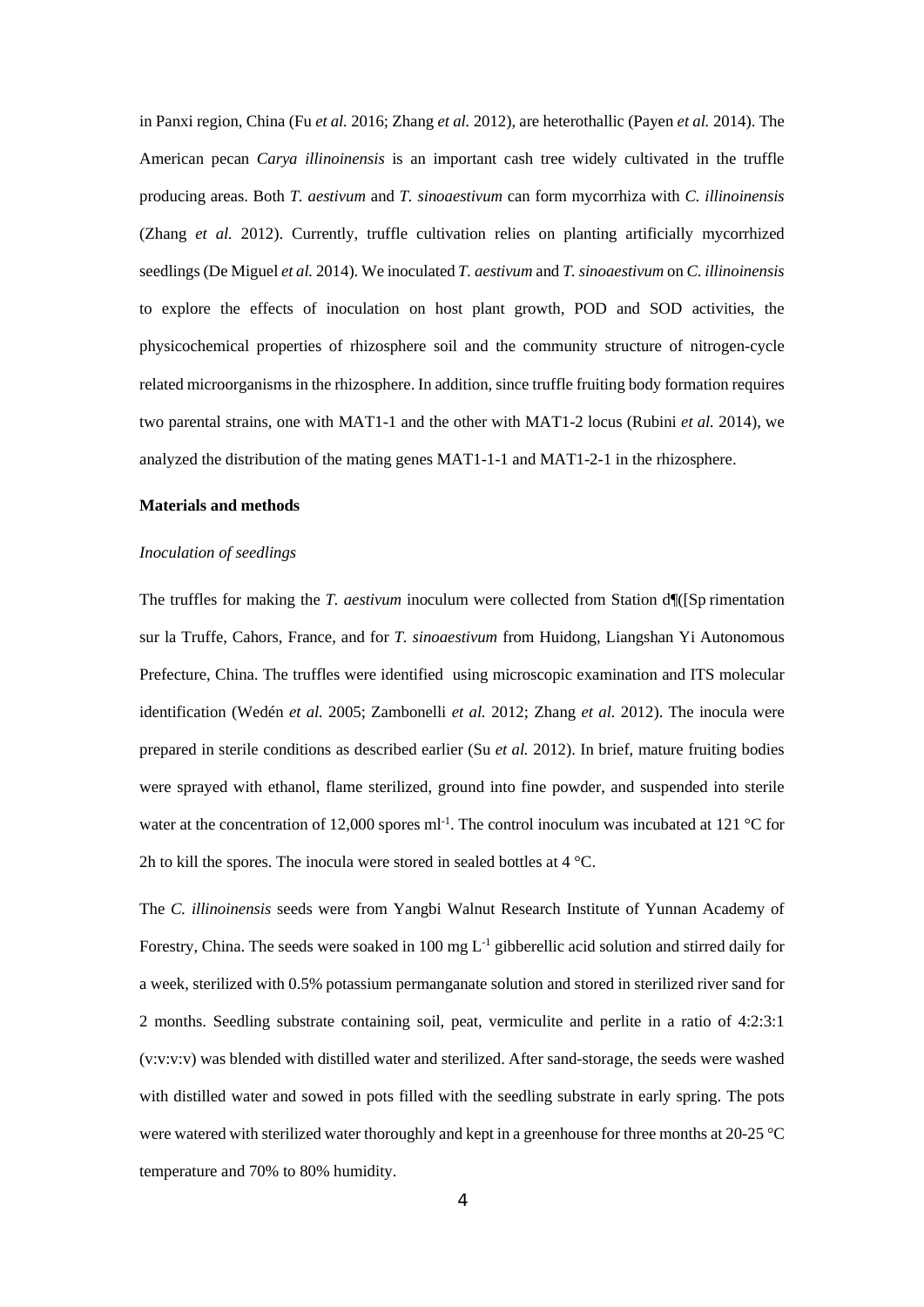in Panxi region, China (Fu *et al.* 2016; Zhang *et al.* 2012), are heterothallic (Payen *et al.* 2014). The American pecan *Carya illinoinensis* is an important cash tree widely cultivated in the truffle producing areas. Both *T. aestivum* and *T. sinoaestivum* can form mycorrhiza with *C. illinoinensis*  (Zhang *et al.* 2012). Currently, truffle cultivation relies on planting artificially mycorrhized seedlings (De Miguel *et al.* 2014). We inoculated *T. aestivum* and *T. sinoaestivum* on *C. illinoinensis* to explore the effects of inoculation on host plant growth, POD and SOD activities, the physicochemical properties of rhizosphere soil and the community structure of nitrogen-cycle related microorganisms in the rhizosphere. In addition, since truffle fruiting body formation requires two parental strains, one with MAT1-1 and the other with MAT1-2 locus (Rubini *et al.* 2014), we analyzed the distribution of the mating genes MAT1-1-1 and MAT1-2-1 in the rhizosphere.

#### **Materials and methods**

# *Inoculation of seedlings*

The truffles for making the *T. aestivum* inoculum were collected from Station d rimentation sur la Truffe, Cahors, France, and for *T. sinoaestivum* from Huidong, Liangshan Yi Autonomous Prefecture, China. The truffles were identified using microscopic examination and ITS molecular identification (Wedén *et al.* 2005; Zambonelli *et al.* 2012; Zhang *et al.* 2012). The inocula were prepared in sterile conditions as described earlier (Su *et al.* 2012). In brief, mature fruiting bodies were sprayed with ethanol, flame sterilized, ground into fine powder, and suspended into sterile water at the concentration of 12,000 spores ml<sup>-1</sup>. The control inoculum was incubated at 121 °C for 2h to kill the spores. The inocula were stored in sealed bottles at 4 °C.

The *C. illinoinensis* seeds were from Yangbi Walnut Research Institute of Yunnan Academy of Forestry, China. The seeds were soaked in  $100 \text{ mg } L^{-1}$  gibberellic acid solution and stirred daily for a week, sterilized with 0.5% potassium permanganate solution and stored in sterilized river sand for 2 months. Seedling substrate containing soil, peat, vermiculite and perlite in a ratio of 4:2:3:1 (v:v:v:v) was blended with distilled water and sterilized. After sand-storage, the seeds were washed with distilled water and sowed in pots filled with the seedling substrate in early spring. The pots were watered with sterilized water thoroughly and kept in a greenhouse for three months at 20-25 °C temperature and 70% to 80% humidity.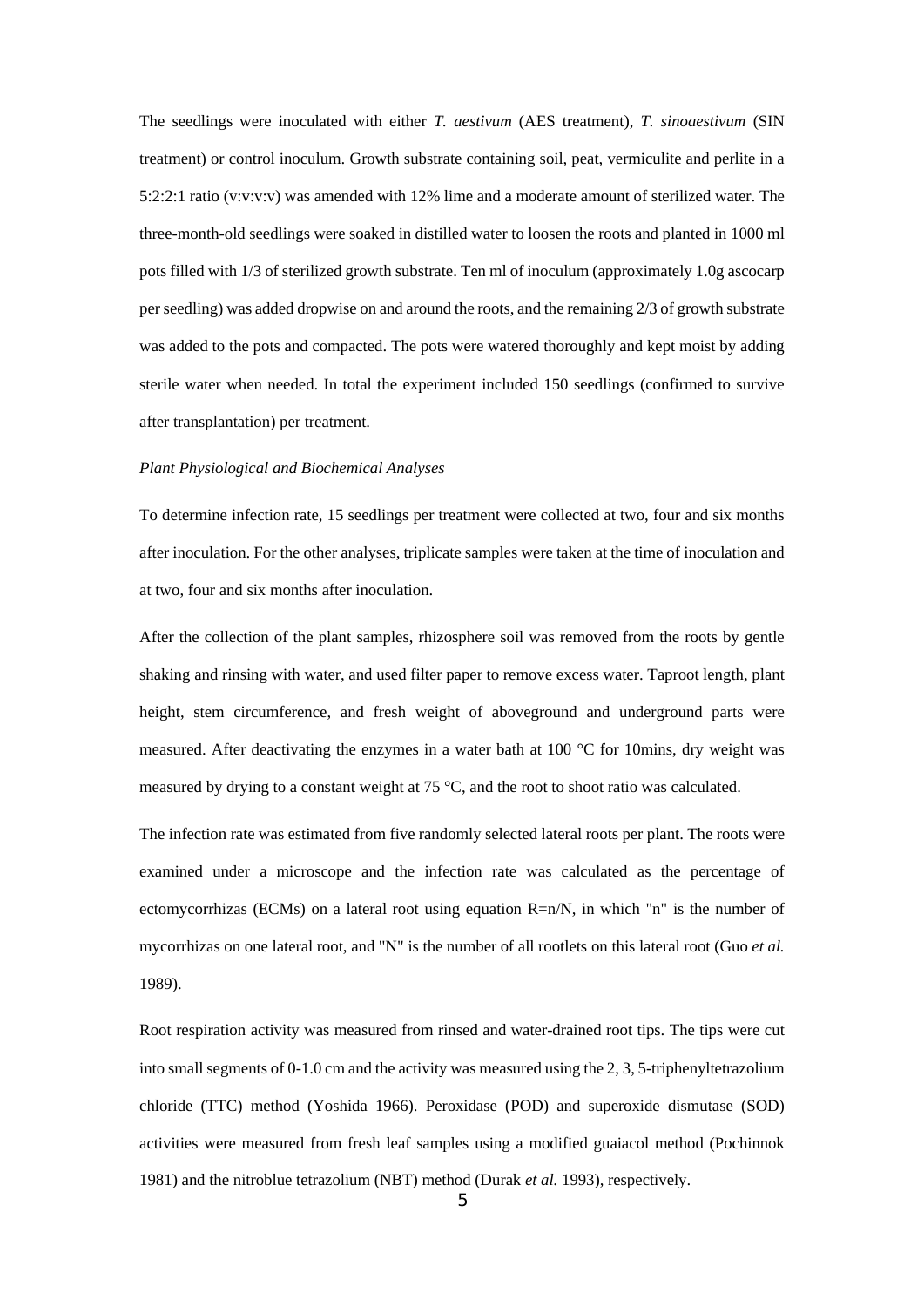The seedlings were inoculated with either *T. aestivum* (AES treatment), *T. sinoaestivum* (SIN treatment) or control inoculum. Growth substrate containing soil, peat, vermiculite and perlite in a 5:2:2:1 ratio (v:v:v:v) was amended with 12% lime and a moderate amount of sterilized water. The three-month-old seedlings were soaked in distilled water to loosen the roots and planted in 1000 ml pots filled with 1/3 of sterilized growth substrate. Ten ml of inoculum (approximately 1.0g ascocarp per seedling) was added dropwise on and around the roots, and the remaining 2/3 of growth substrate was added to the pots and compacted. The pots were watered thoroughly and kept moist by adding sterile water when needed. In total the experiment included 150 seedlings (confirmed to survive after transplantation) per treatment.

#### *Plant Physiological and Biochemical Analyses*

To determine infection rate, 15 seedlings per treatment were collected at two, four and six months after inoculation. For the other analyses, triplicate samples were taken at the time of inoculation and at two, four and six months after inoculation.

After the collection of the plant samples, rhizosphere soil was removed from the roots by gentle shaking and rinsing with water, and used filter paper to remove excess water. Taproot length, plant height, stem circumference, and fresh weight of aboveground and underground parts were measured. After deactivating the enzymes in a water bath at 100 °C for 10mins, dry weight was measured by drying to a constant weight at 75 °C, and the root to shoot ratio was calculated.

The infection rate was estimated from five randomly selected lateral roots per plant. The roots were examined under a microscope and the infection rate was calculated as the percentage of ectomycorrhizas (ECMs) on a lateral root using equation  $R=n/N$ , in which "n" is the number of mycorrhizas on one lateral root, and "N" is the number of all rootlets on this lateral root (Guo *et al.* 1989).

Root respiration activity was measured from rinsed and water-drained root tips. The tips were cut into small segments of 0-1.0 cm and the activity was measured using the 2, 3, 5-triphenyltetrazolium chloride (TTC) method (Yoshida 1966). Peroxidase (POD) and superoxide dismutase (SOD) activities were measured from fresh leaf samples using a modified guaiacol method (Pochinnok 1981) and the nitroblue tetrazolium (NBT) method (Durak *et al.* 1993), respectively.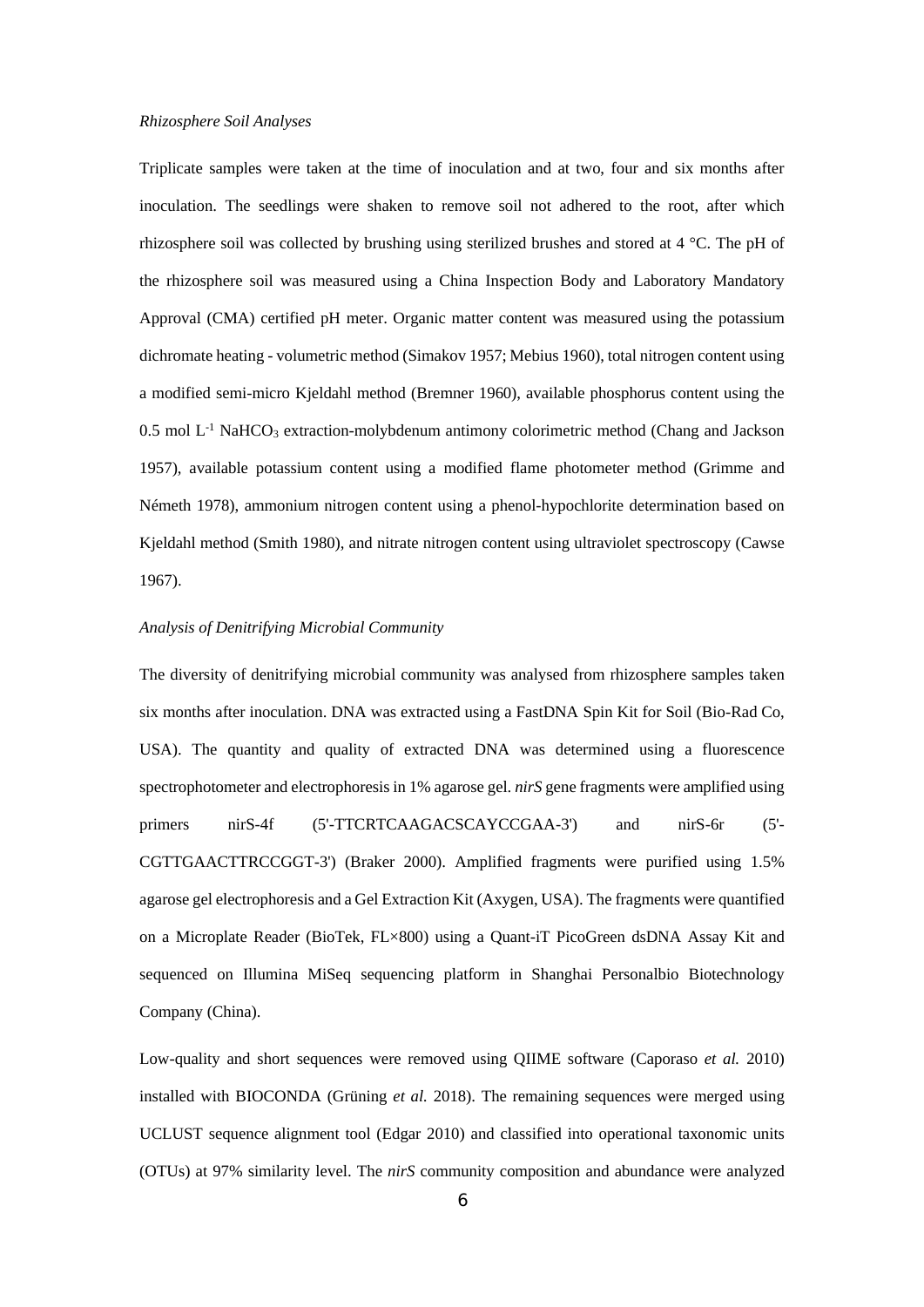#### *Rhizosphere Soil Analyses*

Triplicate samples were taken at the time of inoculation and at two, four and six months after inoculation. The seedlings were shaken to remove soil not adhered to the root, after which rhizosphere soil was collected by brushing using sterilized brushes and stored at 4 °C. The pH of the rhizosphere soil was measured using a China Inspection Body and Laboratory Mandatory Approval (CMA) certified pH meter. Organic matter content was measured using the potassium dichromate heating - volumetric method (Simakov 1957; Mebius 1960), total nitrogen content using a modified semi-micro Kjeldahl method (Bremner 1960), available phosphorus content using the 0.5 mol L<sup>-1</sup> NaHCO<sub>3</sub> extraction-molybdenum antimony colorimetric method (Chang and Jackson 1957), available potassium content using a modified flame photometer method (Grimme and Németh 1978), ammonium nitrogen content using a phenol-hypochlorite determination based on Kjeldahl method (Smith 1980), and nitrate nitrogen content using ultraviolet spectroscopy (Cawse 1967).

# *Analysis of Denitrifying Microbial Community*

The diversity of denitrifying microbial community was analysed from rhizosphere samples taken six months after inoculation. DNA was extracted using a FastDNA Spin Kit for Soil (Bio-Rad Co, USA). The quantity and quality of extracted DNA was determined using a fluorescence spectrophotometer and electrophoresis in 1% agarose gel. *nirS* gene fragments were amplified using primers nirS-4f (5'-TTCRTCAAGACSCAYCCGAA-3') and nirS-6r (5'- CGTTGAACTTRCCGGT-3') (Braker 2000). Amplified fragments were purified using 1.5% agarose gel electrophoresis and a Gel Extraction Kit (Axygen, USA). The fragments were quantified on a Microplate Reader (BioTek, FL×800) using a Quant-iT PicoGreen dsDNA Assay Kit and sequenced on Illumina MiSeq sequencing platform in Shanghai Personalbio Biotechnology Company (China).

Low-quality and short sequences were removed using QIIME software (Caporaso *et al.* 2010) installed with BIOCONDA (Grüning *et al.* 2018). The remaining sequences were merged using UCLUST sequence alignment tool (Edgar 2010) and classified into operational taxonomic units (OTUs) at 97% similarity level. The *nirS* community composition and abundance were analyzed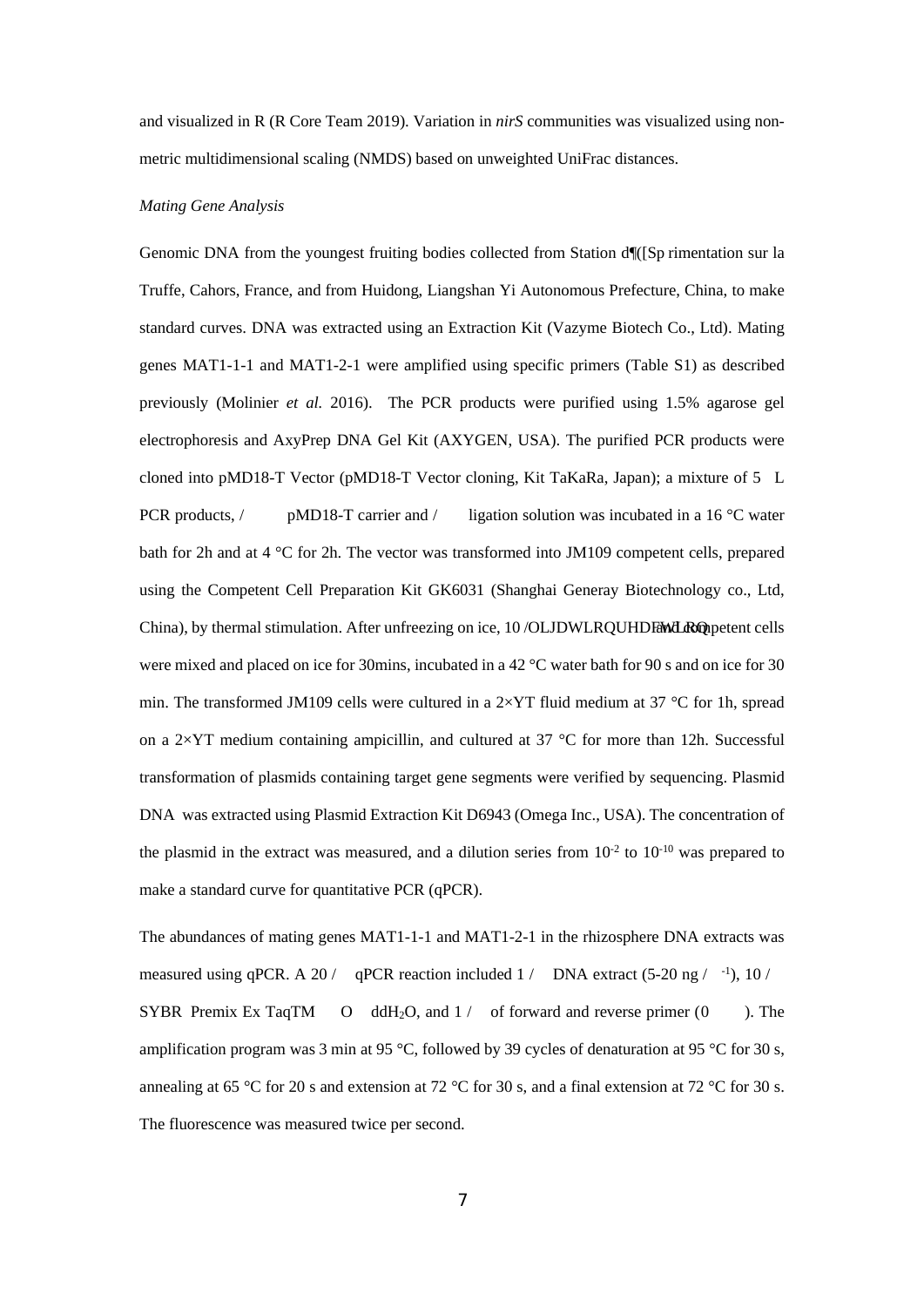and visualized in R (R Core Team 2019). Variation in *nirS* communities was visualized using nonmetric multidimensional scaling (NMDS) based on unweighted UniFrac distances.

#### *Mating Gene Analysis*

Genomic DNA from the youngest fruiting bodies collected from Station d rimentation sur la Truffe, Cahors, France, and from Huidong, Liangshan Yi Autonomous Prefecture, China, to make standard curves. DNA was extracted using an Extraction Kit (Vazyme Biotech Co., Ltd). Mating genes MAT1-1-1 and MAT1-2-1 were amplified using specific primers (Table S1) as described previously (Molinier *et al.* 2016). The PCR products were purified using 1.5% agarose gel electrophoresis and AxyPrep DNA Gel Kit (AXYGEN, USA). The purified PCR products were cloned into pMD18-T Vector (pMD18-T Vector cloning, Kit TaKaRa, Japan); a mixture of 5 L PCR products, pMD18-T carrier and ligation solution was incubated in a 16 °C water bath for 2h and at 4 °C for 2h. The vector was transformed into JM109 competent cells, prepared using the Competent Cell Preparation Kit GK6031 (Shanghai Generay Biotechnology co., Ltd, China), by thermal stimulation. After unfreezing on ice, 10 and competent cells were mixed and placed on ice for 30mins, incubated in a 42 °C water bath for 90 s and on ice for 30 min. The transformed JM109 cells were cultured in a  $2\times$ YT fluid medium at 37 °C for 1h, spread on a  $2\times$ YT medium containing ampicillin, and cultured at 37 °C for more than 12h. Successful transformation of plasmids containing target gene segments were verified by sequencing. Plasmid DNA was extracted using Plasmid Extraction Kit D6943 (Omega Inc., USA). The concentration of the plasmid in the extract was measured, and a dilution series from  $10^{-2}$  to  $10^{-10}$  was prepared to make a standard curve for quantitative PCR (qPCR).

The abundances of mating genes MAT1-1-1 and MAT1-2-1 in the rhizosphere DNA extracts was measured using qPCR. A 20 qPCR reaction included 1 DNA extract  $(5-20 \text{ ng})$  $-1$ ), 10 SYBR Premix Ex TaqTM ddH<sub>2</sub>O, and 1 of forward and reverse primer ( $\blacksquare$ ). The amplification program was 3 min at 95 °C, followed by 39 cycles of denaturation at 95 °C for 30 s, annealing at 65 °C for 20 s and extension at 72 °C for 30 s, and a final extension at 72 °C for 30 s. The fluorescence was measured twice per second.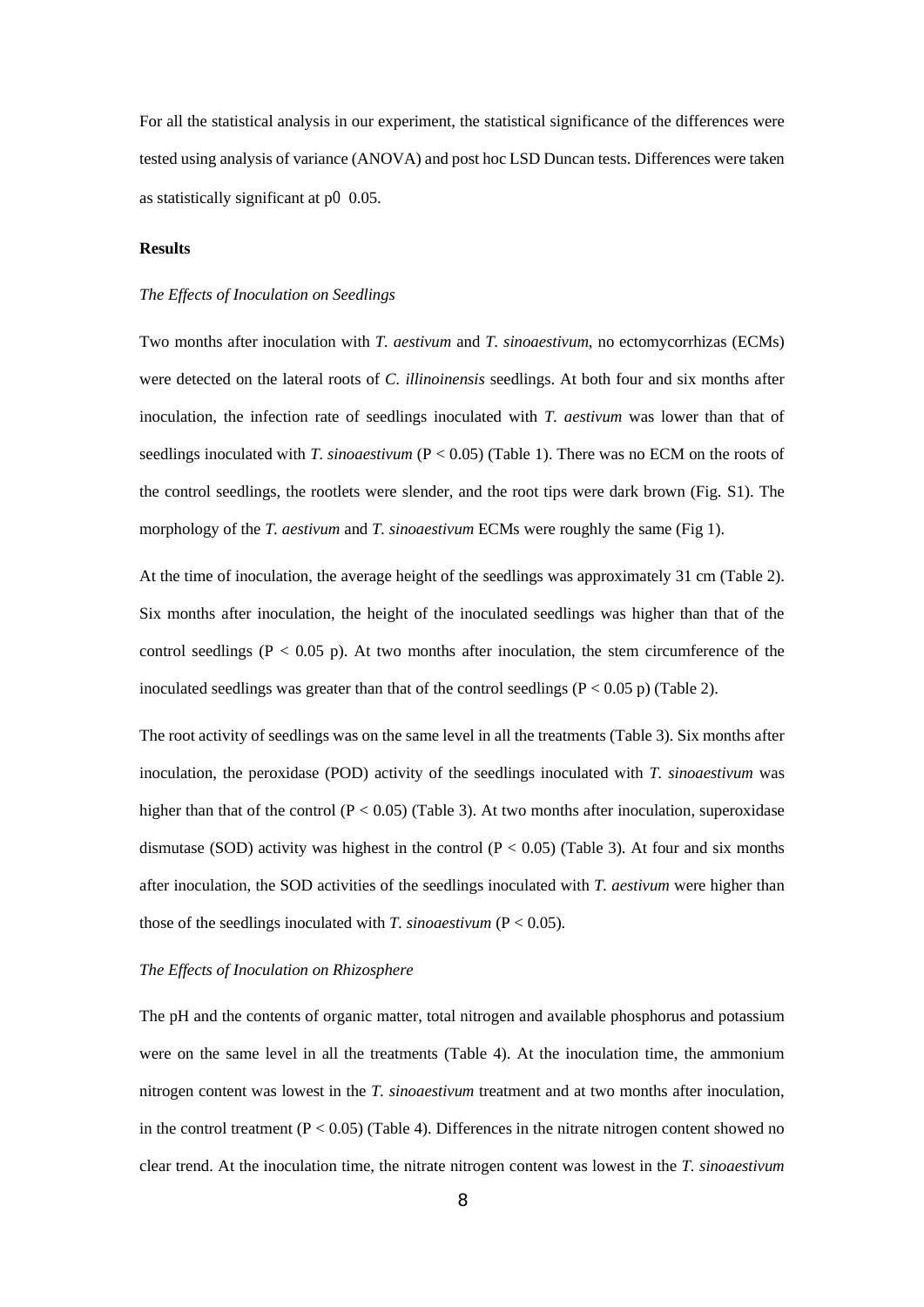For all the statistical analysis in our experiment, the statistical significance of the differences were tested using analysis of variance (ANOVA) and post hoc LSD Duncan tests. Differences were taken as statistically significant at  $p \quad 0.05$ .

# **Results**

# *The Effects of Inoculation on Seedlings*

Two months after inoculation with *T. aestivum* and *T. sinoaestivum*, no ectomycorrhizas (ECMs) were detected on the lateral roots of *C. illinoinensis* seedlings. At both four and six months after inoculation, the infection rate of seedlings inoculated with *T. aestivum* was lower than that of seedlings inoculated with *T. sinoaestivum* (P < 0.05) (Table 1). There was no ECM on the roots of the control seedlings, the rootlets were slender, and the root tips were dark brown (Fig. S1). The morphology of the *T. aestivum* and *T. sinoaestivum* ECMs were roughly the same (Fig 1).

At the time of inoculation, the average height of the seedlings was approximately 31 cm (Table 2). Six months after inoculation, the height of the inoculated seedlings was higher than that of the control seedlings ( $P < 0.05$  p). At two months after inoculation, the stem circumference of the inoculated seedlings was greater than that of the control seedlings  $(P < 0.05 p)$  (Table 2).

The root activity of seedlings was on the same level in all the treatments (Table 3). Six months after inoculation, the peroxidase (POD) activity of the seedlings inoculated with *T. sinoaestivum* was higher than that of the control  $(P < 0.05)$  (Table 3). At two months after inoculation, superoxidase dismutase (SOD) activity was highest in the control ( $P < 0.05$ ) (Table 3). At four and six months after inoculation, the SOD activities of the seedlings inoculated with *T. aestivum* were higher than those of the seedlings inoculated with *T. sinoaestivum* (P < 0.05).

#### *The Effects of Inoculation on Rhizosphere*

The pH and the contents of organic matter, total nitrogen and available phosphorus and potassium were on the same level in all the treatments (Table 4). At the inoculation time, the ammonium nitrogen content was lowest in the *T. sinoaestivum* treatment and at two months after inoculation, in the control treatment  $(P < 0.05)$  (Table 4). Differences in the nitrate nitrogen content showed no clear trend. At the inoculation time, the nitrate nitrogen content was lowest in the *T. sinoaestivum*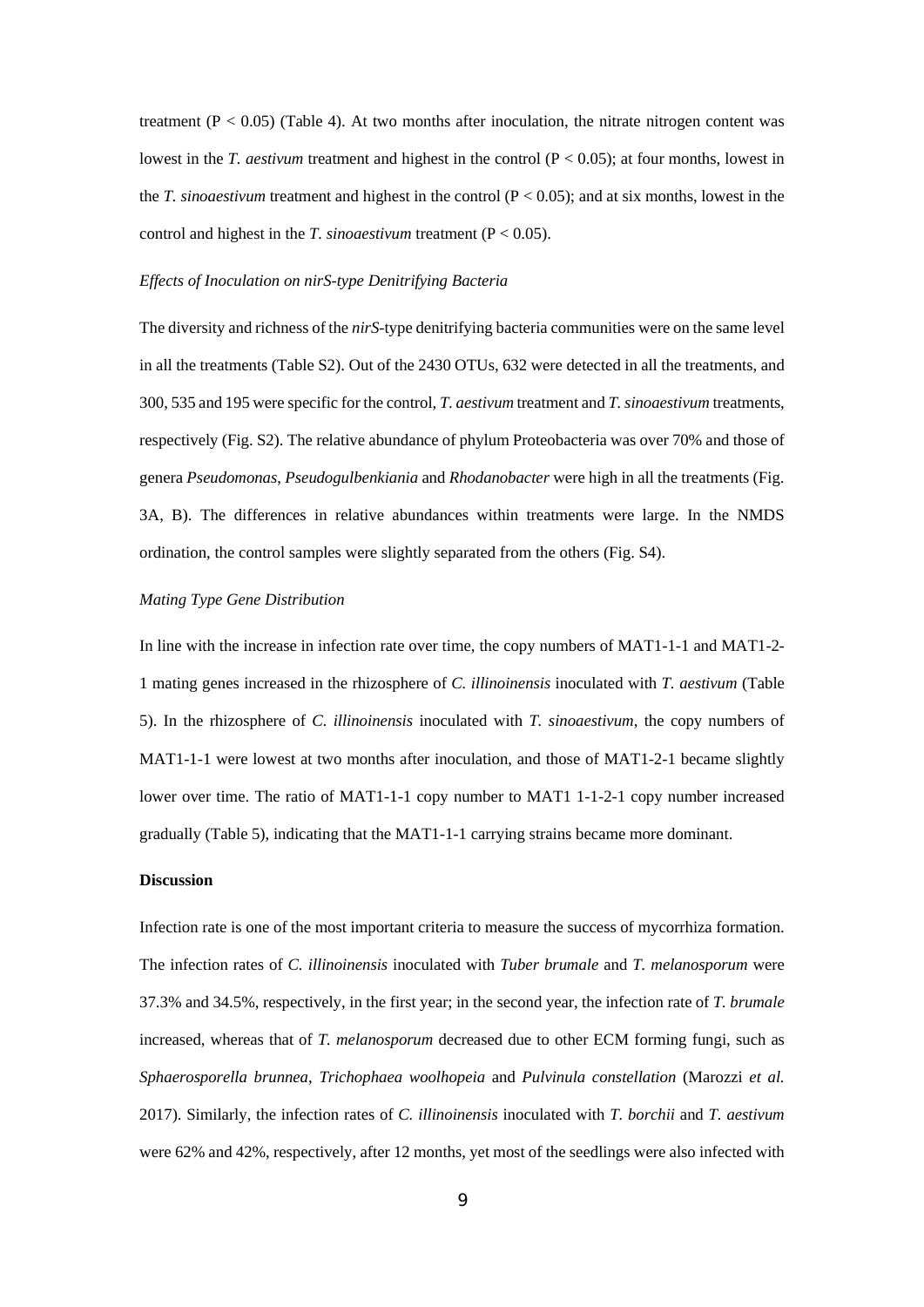treatment  $(P < 0.05)$  (Table 4). At two months after inoculation, the nitrate nitrogen content was lowest in the *T. aestivum* treatment and highest in the control (P < 0.05); at four months, lowest in the *T. sinoaestivum* treatment and highest in the control  $(P < 0.05)$ ; and at six months, lowest in the control and highest in the *T. sinoaestivum* treatment ( $P < 0.05$ ).

#### *Effects of Inoculation on nirS-type Denitrifying Bacteria*

The diversity and richness of the *nirS*-type denitrifying bacteria communities were on the same level in all the treatments (Table S2). Out of the 2430 OTUs, 632 were detected in all the treatments, and 300, 535 and 195 were specific for the control, *T. aestivum* treatment and *T. sinoaestivum* treatments, respectively (Fig. S2). The relative abundance of phylum Proteobacteria was over 70% and those of genera *Pseudomonas*, *Pseudogulbenkiania* and *Rhodanobacter* were high in all the treatments (Fig. 3A, B). The differences in relative abundances within treatments were large. In the NMDS ordination, the control samples were slightly separated from the others (Fig. S4).

# *Mating Type Gene Distribution*

In line with the increase in infection rate over time, the copy numbers of MAT1-1-1 and MAT1-2- 1 mating genes increased in the rhizosphere of *C. illinoinensis* inoculated with *T. aestivum* (Table 5). In the rhizosphere of *C. illinoinensis* inoculated with *T. sinoaestivum*, the copy numbers of MAT1-1-1 were lowest at two months after inoculation, and those of MAT1-2-1 became slightly lower over time. The ratio of MAT1-1-1 copy number to MAT1 1-1-2-1 copy number increased gradually (Table 5), indicating that the MAT1-1-1 carrying strains became more dominant.

# **Discussion**

Infection rate is one of the most important criteria to measure the success of mycorrhiza formation. The infection rates of *C. illinoinensis* inoculated with *Tuber brumale* and *T. melanosporum* were 37.3% and 34.5%, respectively, in the first year; in the second year, the infection rate of *T. brumale* increased, whereas that of *T. melanosporum* decreased due to other ECM forming fungi, such as *Sphaerosporella brunnea*, *Trichophaea woolhopeia* and *Pulvinula constellation* (Marozzi *et al.* 2017). Similarly, the infection rates of *C. illinoinensis* inoculated with *T. borchii* and *T. aestivum* were 62% and 42%, respectively, after 12 months, yet most of the seedlings were also infected with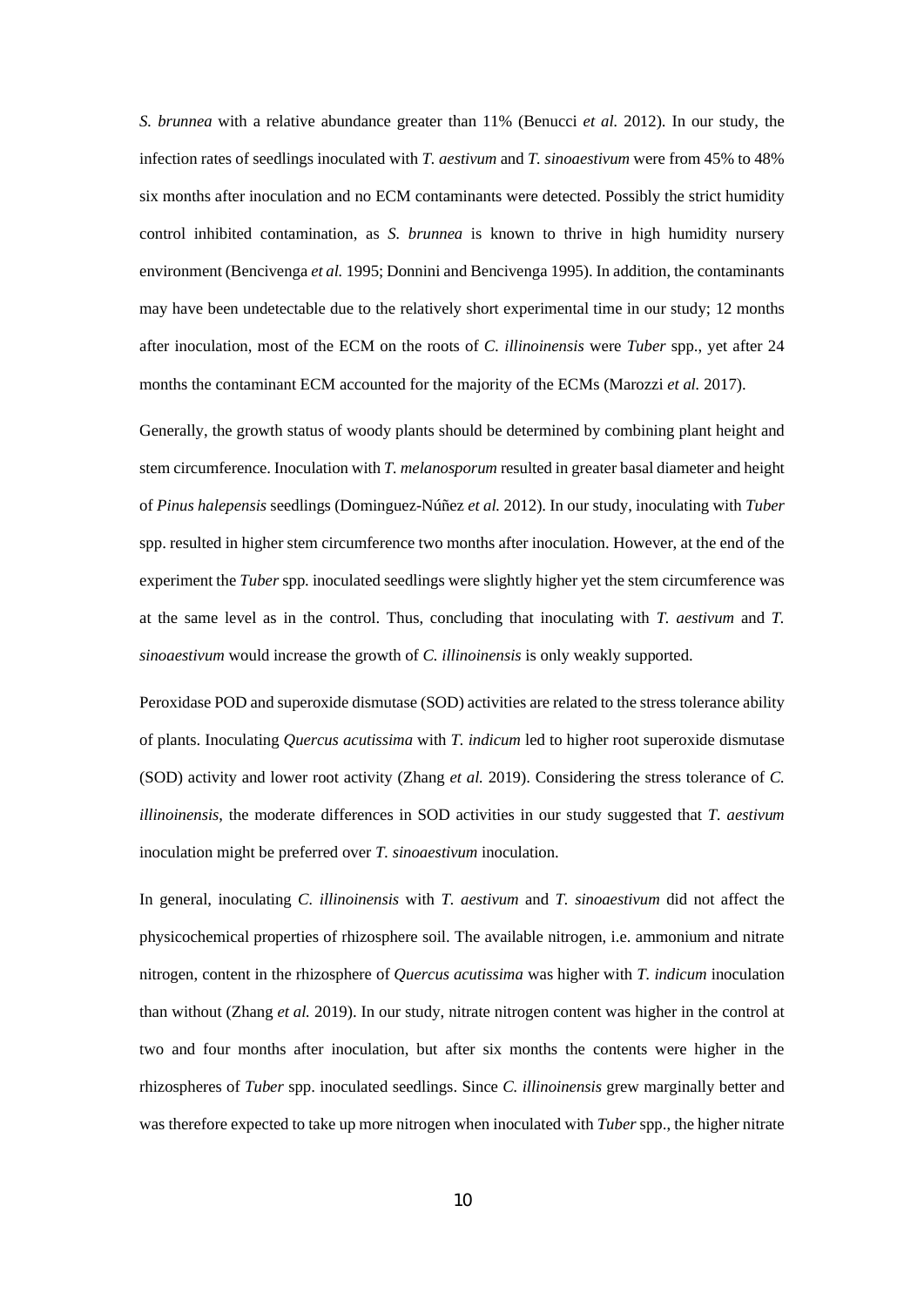*S. brunnea* with a relative abundance greater than 11% (Benucci *et al.* 2012). In our study, the infection rates of seedlings inoculated with *T. aestivum* and *T. sinoaestivum* were from 45% to 48% six months after inoculation and no ECM contaminants were detected. Possibly the strict humidity control inhibited contamination, as *S. brunnea* is known to thrive in high humidity nursery environment (Bencivenga *et al.* 1995; Donnini and Bencivenga 1995). In addition, the contaminants may have been undetectable due to the relatively short experimental time in our study; 12 months after inoculation, most of the ECM on the roots of *C. illinoinensis* were *Tuber* spp., yet after 24 months the contaminant ECM accounted for the majority of the ECMs (Marozzi *et al.* 2017).

Generally, the growth status of woody plants should be determined by combining plant height and stem circumference. Inoculation with *T. melanosporum* resulted in greater basal diameter and height of *Pinus halepensis* seedlings (Dominguez-Núñez *et al.* 2012). In our study, inoculating with *Tuber* spp. resulted in higher stem circumference two months after inoculation. However, at the end of the experiment the *Tuber* spp. inoculated seedlings were slightly higher yet the stem circumference was at the same level as in the control. Thus, concluding that inoculating with *T. aestivum* and *T. sinoaestivum* would increase the growth of *C. illinoinensis* is only weakly supported.

Peroxidase POD and superoxide dismutase (SOD) activities are related to the stress tolerance ability of plants. Inoculating *Quercus acutissima* with *T. indicum* led to higher root superoxide dismutase (SOD) activity and lower root activity (Zhang *et al.* 2019). Considering the stress tolerance of *C. illinoinensis*, the moderate differences in SOD activities in our study suggested that *T. aestivum* inoculation might be preferred over *T. sinoaestivum* inoculation.

In general, inoculating *C. illinoinensis* with *T. aestivum* and *T. sinoaestivum* did not affect the physicochemical properties of rhizosphere soil. The available nitrogen, i.e. ammonium and nitrate nitrogen, content in the rhizosphere of *Quercus acutissima* was higher with *T. indicum* inoculation than without (Zhang *et al.* 2019). In our study, nitrate nitrogen content was higher in the control at two and four months after inoculation, but after six months the contents were higher in the rhizospheres of *Tuber* spp. inoculated seedlings. Since *C. illinoinensis* grew marginally better and was therefore expected to take up more nitrogen when inoculated with *Tuber* spp., the higher nitrate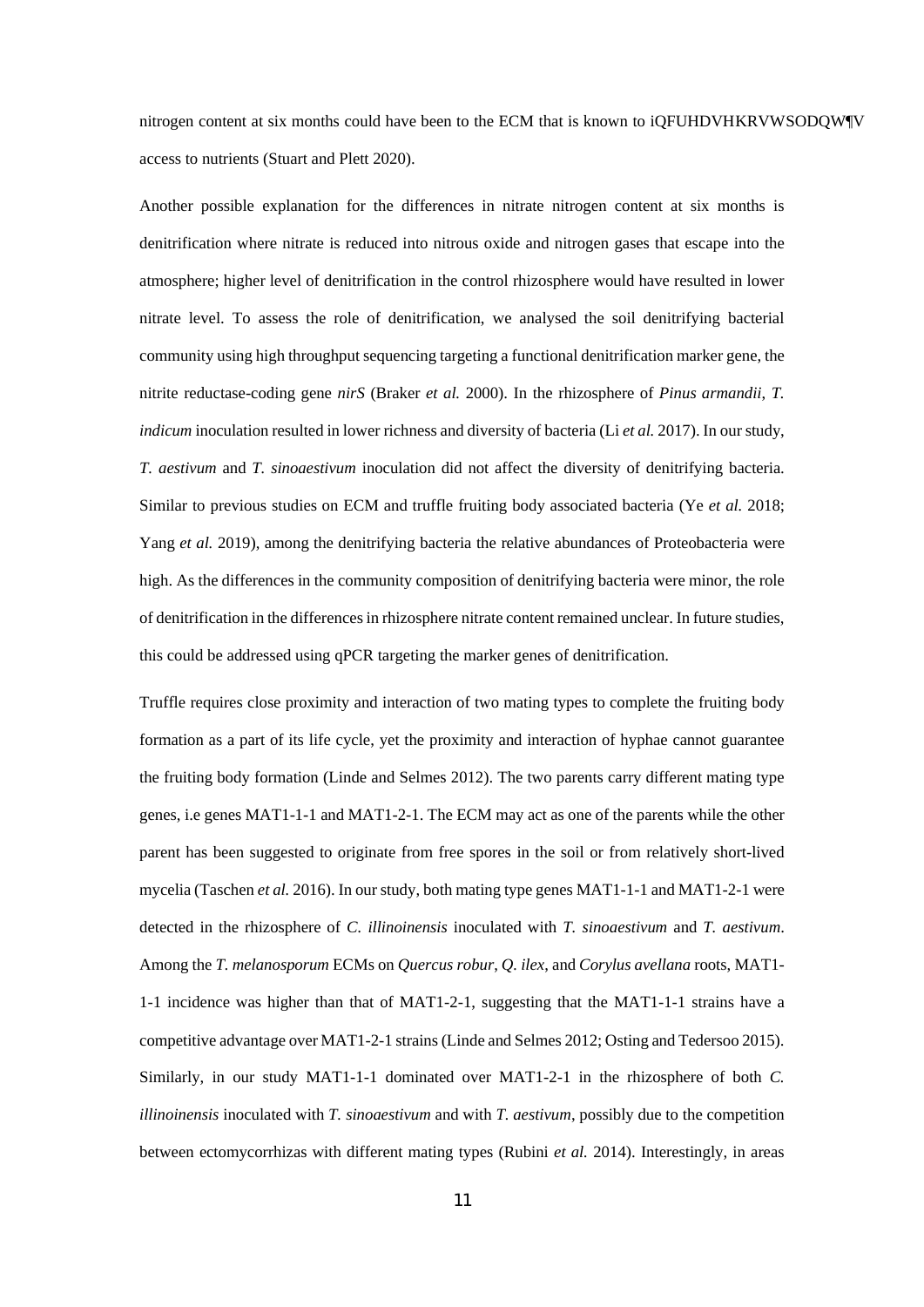nitrogen content at six months could have been to the ECM that is known to i access to nutrients (Stuart and Plett 2020).

Another possible explanation for the differences in nitrate nitrogen content at six months is denitrification where nitrate is reduced into nitrous oxide and nitrogen gases that escape into the atmosphere; higher level of denitrification in the control rhizosphere would have resulted in lower nitrate level. To assess the role of denitrification, we analysed the soil denitrifying bacterial community using high throughput sequencing targeting a functional denitrification marker gene, the nitrite reductase-coding gene *nirS* (Braker *et al.* 2000). In the rhizosphere of *Pinus armandii*, *T. indicum* inoculation resulted in lower richness and diversity of bacteria (Li *et al.* 2017). In our study, *T. aestivum* and *T. sinoaestivum* inoculation did not affect the diversity of denitrifying bacteria. Similar to previous studies on ECM and truffle fruiting body associated bacteria (Ye *et al.* 2018; Yang *et al.* 2019), among the denitrifying bacteria the relative abundances of Proteobacteria were high. As the differences in the community composition of denitrifying bacteria were minor, the role of denitrification in the differences in rhizosphere nitrate content remained unclear. In future studies, this could be addressed using qPCR targeting the marker genes of denitrification.

Truffle requires close proximity and interaction of two mating types to complete the fruiting body formation as a part of its life cycle, yet the proximity and interaction of hyphae cannot guarantee the fruiting body formation (Linde and Selmes 2012). The two parents carry different mating type genes, i.e genes MAT1-1-1 and MAT1-2-1. The ECM may act as one of the parents while the other parent has been suggested to originate from free spores in the soil or from relatively short-lived mycelia (Taschen *et al.* 2016). In our study, both mating type genes MAT1-1-1 and MAT1-2-1 were detected in the rhizosphere of *C. illinoinensis* inoculated with *T. sinoaestivum* and *T. aestivum*. Among the *T. melanosporum* ECMs on *Quercus robur*, *Q. ilex*, and *Corylus avellana* roots, MAT1- 1-1 incidence was higher than that of MAT1-2-1, suggesting that the MAT1-1-1 strains have a competitive advantage over MAT1-2-1 strains(Linde and Selmes 2012; Osting and Tedersoo 2015). Similarly, in our study MAT1-1-1 dominated over MAT1-2-1 in the rhizosphere of both *C. illinoinensis* inoculated with *T. sinoaestivum* and with *T. aestivum*, possibly due to the competition between ectomycorrhizas with different mating types (Rubini *et al.* 2014). Interestingly, in areas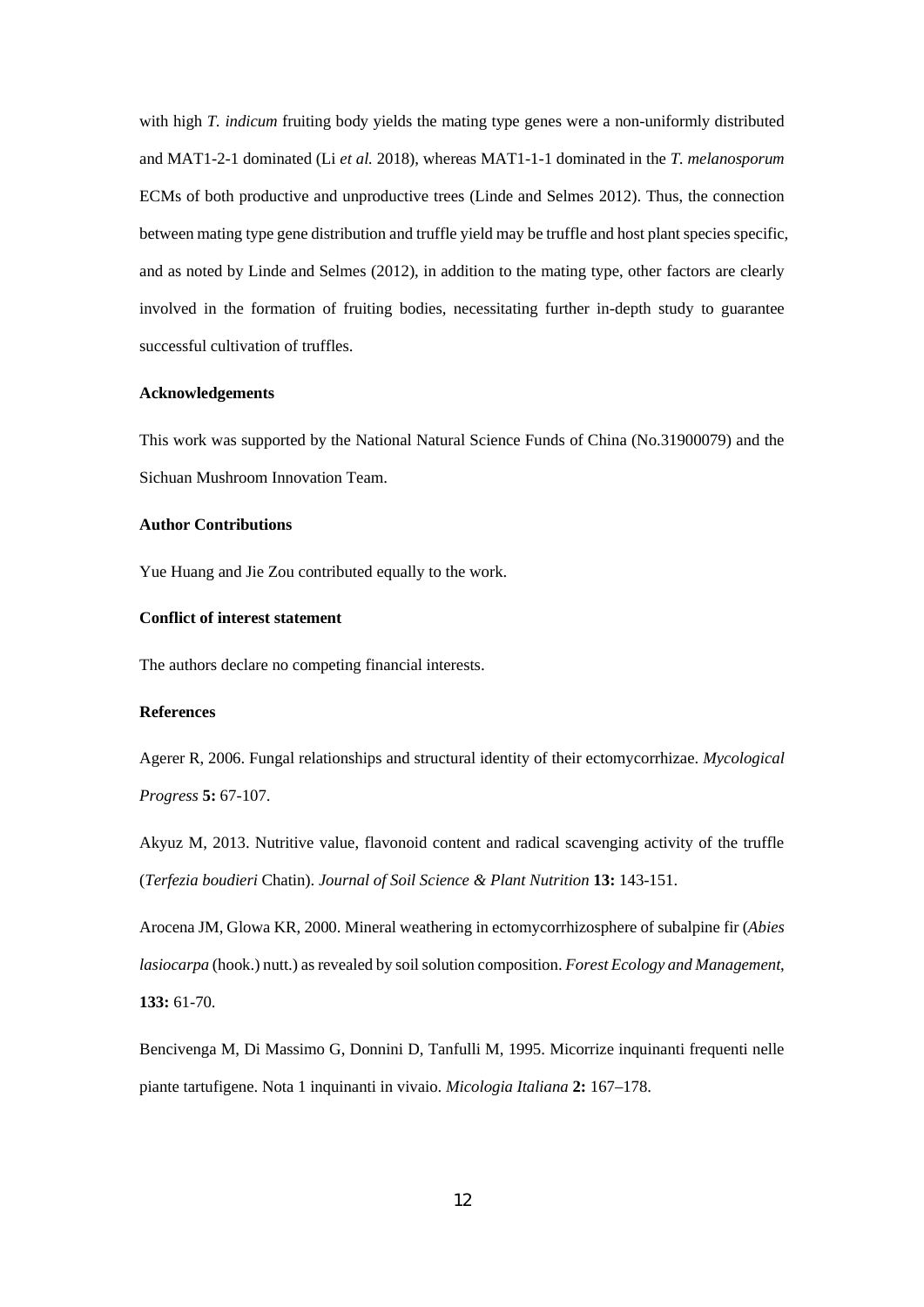with high *T. indicum* fruiting body yields the mating type genes were a non-uniformly distributed and MAT1-2-1 dominated (Li *et al.* 2018), whereas MAT1-1-1 dominated in the *T. melanosporum* ECMs of both productive and unproductive trees (Linde and Selmes 2012). Thus, the connection between mating type gene distribution and truffle yield may be truffle and host plant species specific, and as noted by Linde and Selmes (2012), in addition to the mating type, other factors are clearly involved in the formation of fruiting bodies, necessitating further in-depth study to guarantee successful cultivation of truffles.

# **Acknowledgements**

This work was supported by the National Natural Science Funds of China (No.31900079) and the Sichuan Mushroom Innovation Team.

# **Author Contributions**

Yue Huang and Jie Zou contributed equally to the work.

#### **Conflict of interest statement**

The authors declare no competing financial interests.

# **References**

Agerer R, 2006. Fungal relationships and structural identity of their ectomycorrhizae. *Mycological Progress* **5:** 67-107.

Akyuz M, 2013. Nutritive value, flavonoid content and radical scavenging activity of the truffle (*Terfezia boudieri* Chatin). *Journal of Soil Science & Plant Nutrition* **13:** 143-151.

Arocena JM, Glowa KR, 2000. Mineral weathering in ectomycorrhizosphere of subalpine fir (*Abies lasiocarpa* (hook.) nutt.) as revealed by soil solution composition. *Forest Ecology and Management*, **133:** 61-70.

Bencivenga M, Di Massimo G, Donnini D, Tanfulli M, 1995. Micorrize inquinanti frequenti nelle piante tartufigene. Nota 1 inquinanti in vivaio. *Micologia Italiana* **2:** 167 178.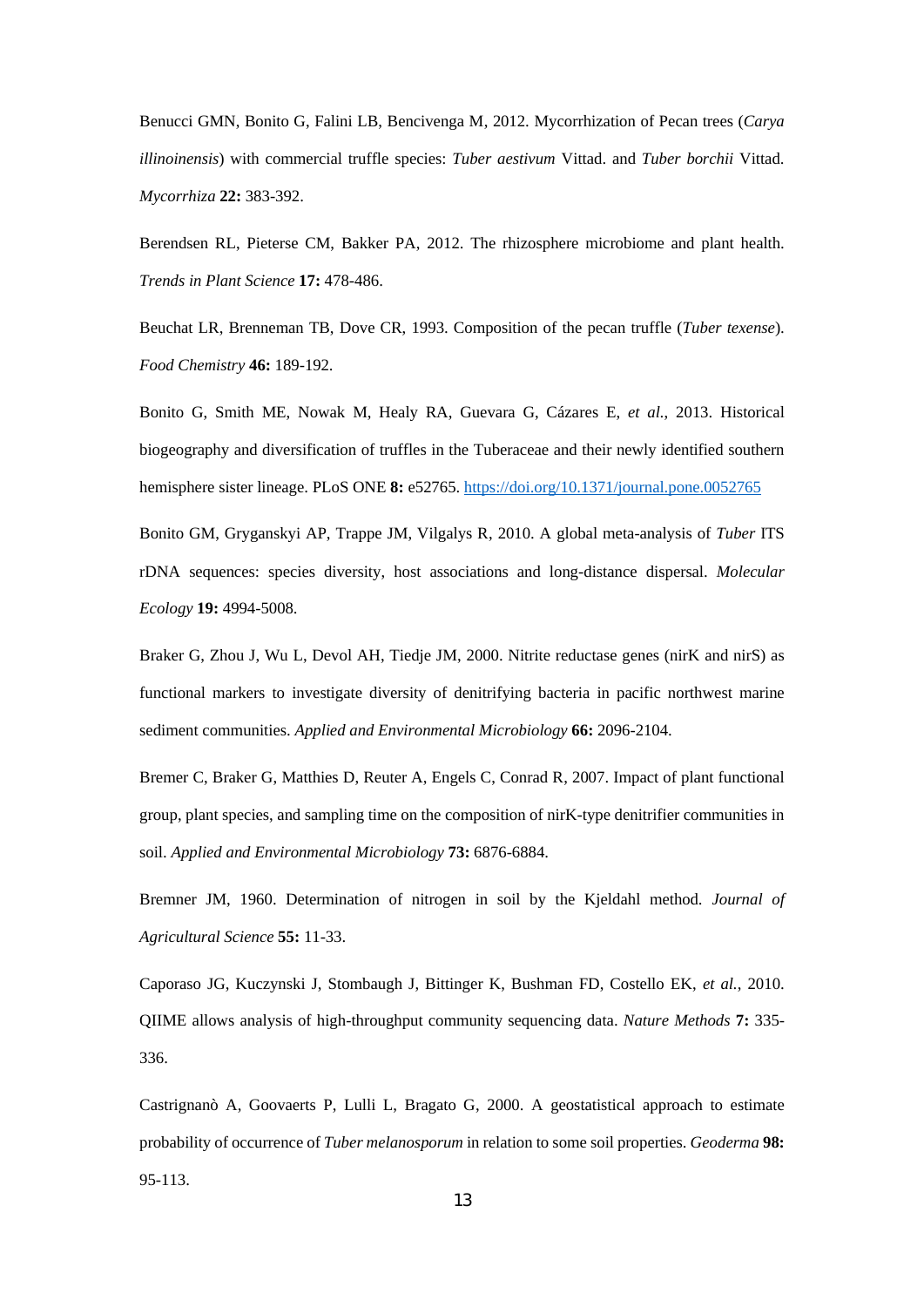Benucci GMN, Bonito G, Falini LB, Bencivenga M, 2012. Mycorrhization of Pecan trees (*Carya illinoinensis*) with commercial truffle species: *Tuber aestivum* Vittad. and *Tuber borchii* Vittad. *Mycorrhiza* **22:** 383-392.

Berendsen RL, Pieterse CM, Bakker PA, 2012. The rhizosphere microbiome and plant health. *Trends in Plant Science* **17:** 478-486.

Beuchat LR, Brenneman TB, Dove CR, 1993. Composition of the pecan truffle (*Tuber texense*). *Food Chemistry* **46:** 189-192.

Bonito G, Smith ME, Nowak M, Healy RA, Guevara G, Cázares E, *et al.*, 2013. Historical biogeography and diversification of truffles in the Tuberaceae and their newly identified southern hemisphere sister lineage. PLoS ONE **8:** e52765. <https://doi.org/10.1371/journal.pone.0052765>

Bonito GM, Gryganskyi AP, Trappe JM, Vilgalys R, 2010. A global meta-analysis of *Tuber* ITS rDNA sequences: species diversity, host associations and long-distance dispersal. *Molecular Ecology* **19:** 4994-5008.

Braker G, Zhou J, Wu L, Devol AH, Tiedje JM, 2000. Nitrite reductase genes (nirK and nirS) as functional markers to investigate diversity of denitrifying bacteria in pacific northwest marine sediment communities. *Applied and Environmental Microbiology* **66:** 2096-2104.

Bremer C, Braker G, Matthies D, Reuter A, Engels C, Conrad R, 2007. Impact of plant functional group, plant species, and sampling time on the composition of nirK-type denitrifier communities in soil. *Applied and Environmental Microbiology* **73:** 6876-6884.

Bremner JM, 1960. Determination of nitrogen in soil by the Kjeldahl method. *Journal of Agricultural Science* **55:** 11-33.

Caporaso JG, Kuczynski J, Stombaugh J, Bittinger K, Bushman FD, Costello EK, *et al.*, 2010. QIIME allows analysis of high-throughput community sequencing data. *Nature Methods* **7:** 335- 336.

Castrignanò A, Goovaerts P, Lulli L, Bragato G, 2000. A geostatistical approach to estimate probability of occurrence of *Tuber melanosporum* in relation to some soil properties. *Geoderma* **98:** 95-113.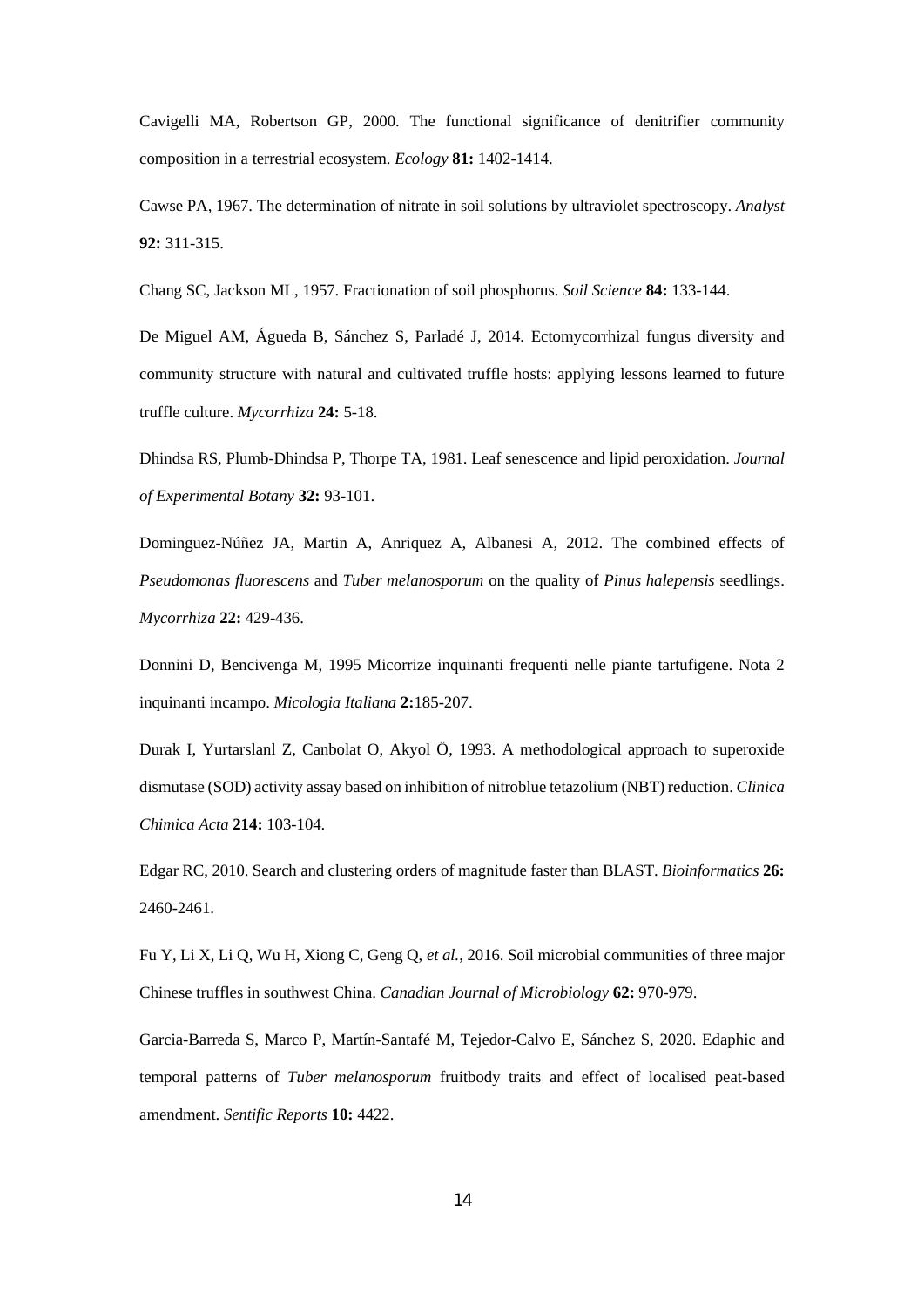Cavigelli MA, Robertson GP, 2000. The functional significance of denitrifier community composition in a terrestrial ecosystem. *Ecology* **81:** 1402-1414.

Cawse PA, 1967. The determination of nitrate in soil solutions by ultraviolet spectroscopy. *Analyst* **92:** 311-315.

Chang SC, Jackson ML, 1957. Fractionation of soil phosphorus. *Soil Science* **84:** 133-144.

De Miguel AM, Águeda B, Sánchez S, Parladé J, 2014. Ectomycorrhizal fungus diversity and community structure with natural and cultivated truffle hosts: applying lessons learned to future truffle culture. *Mycorrhiza* **24:** 5-18.

Dhindsa RS, Plumb-Dhindsa P, Thorpe TA, 1981. Leaf senescence and lipid peroxidation. *Journal of Experimental Botany* **32:** 93-101.

Dominguez-Núñez JA, Martin A, Anriquez A, Albanesi A, 2012. The combined effects of *Pseudomonas fluorescens* and *Tuber melanosporum* on the quality of *Pinus halepensis* seedlings. *Mycorrhiza* **22:** 429-436.

Donnini D, Bencivenga M, 1995 Micorrize inquinanti frequenti nelle piante tartufigene. Nota 2 inquinanti incampo. *Micologia Italiana* **2:**185-207.

Durak I, Yurtarslanl Z, Canbolat O, Akyol Ö, 1993. A methodological approach to superoxide dismutase (SOD) activity assay based on inhibition of nitroblue tetazolium (NBT) reduction. *Clinica Chimica Acta* **214:** 103-104.

Edgar RC, 2010. Search and clustering orders of magnitude faster than BLAST. *Bioinformatics* **26:** 2460-2461.

Fu Y, Li X, Li Q, Wu H, Xiong C, Geng Q, *et al.*, 2016. Soil microbial communities of three major Chinese truffles in southwest China. *Canadian Journal of Microbiology* **62:** 970-979.

Garcia-Barreda S, Marco P, Martín-Santafé M, Tejedor-Calvo E, Sánchez S, 2020. Edaphic and temporal patterns of *Tuber melanosporum* fruitbody traits and effect of localised peat-based amendment. *Sentific Reports* **10:** 4422.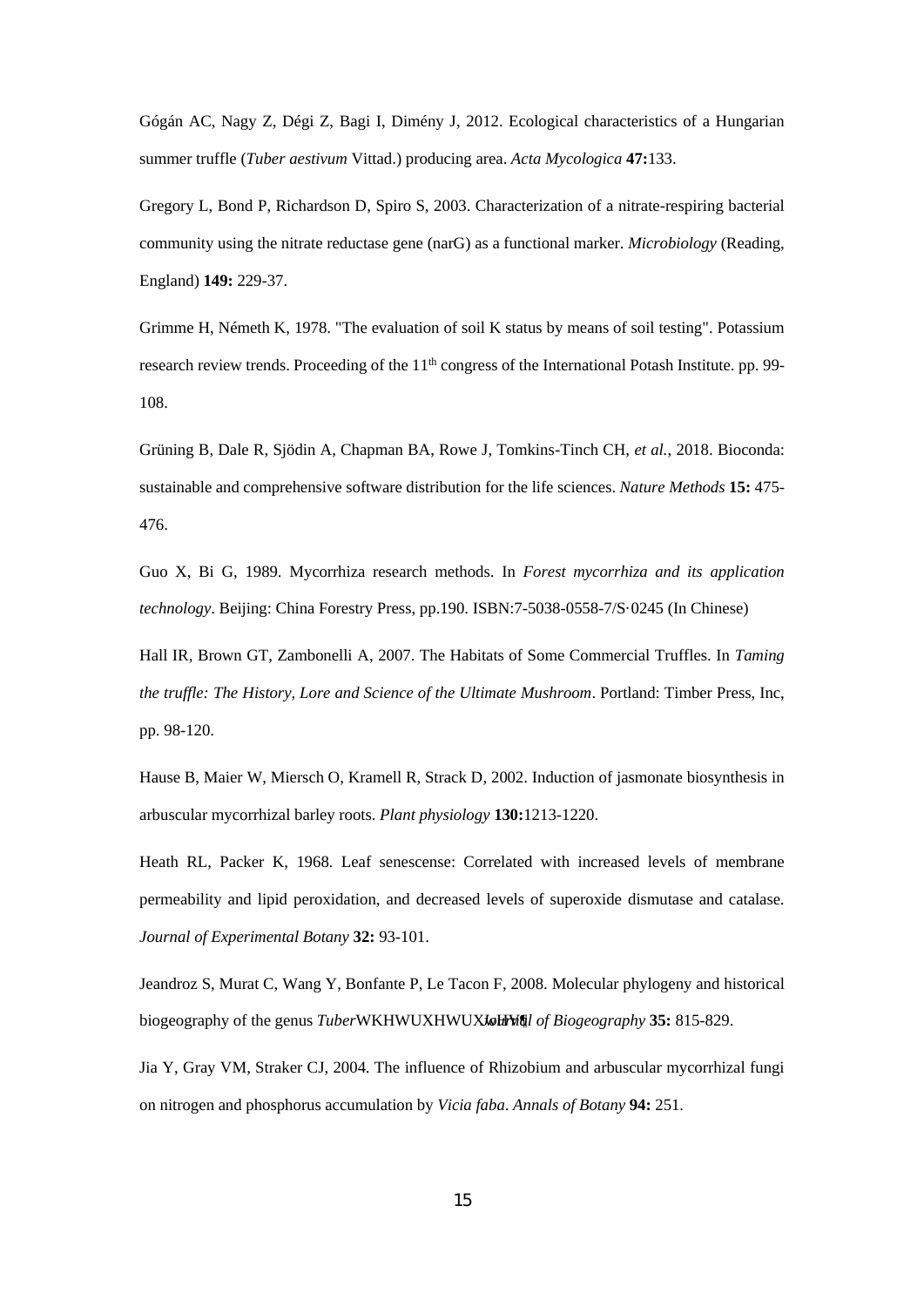Gógán AC, Nagy Z, Dégi Z, Bagi I, Dimény J, 2012. Ecological characteristics of a Hungarian summer truffle (*Tuber aestivum* Vittad.) producing area. *Acta Mycologica* **47:**133.

Gregory L, Bond P, Richardson D, Spiro S, 2003. Characterization of a nitrate-respiring bacterial community using the nitrate reductase gene (narG) as a functional marker. *Microbiology* (Reading, England) **149:** 229-37.

Grimme H, Németh K, 1978. "The evaluation of soil K status by means of soil testing". Potassium research review trends. Proceeding of the 11<sup>th</sup> congress of the International Potash Institute. pp. 99-108.

Grüning B, Dale R, Sjödin A, Chapman BA, Rowe J, Tomkins-Tinch CH, *et al.*, 2018. Bioconda: sustainable and comprehensive software distribution for the life sciences. *Nature Methods* **15:** 475- 476.

Guo X, Bi G, 1989. Mycorrhiza research methods. In *Forest mycorrhiza and its application technology*. Beijing: China Forestry Press, pp.190. ISBN:7-5038-0558-7/S·0245 (In Chinese)

Hall IR, Brown GT, Zambonelli A, 2007. The Habitats of Some Commercial Truffles. In *Taming the truffle: The History, Lore and Science of the Ultimate Mushroom*. Portland: Timber Press, Inc, pp. 98-120.

Hause B, Maier W, Miersch O, Kramell R, Strack D, 2002. Induction of jasmonate biosynthesis in arbuscular mycorrhizal barley roots. *Plant physiology* **130:**1213-1220.

Heath RL, Packer K, 1968. Leaf senescense: Correlated with increased levels of membrane permeability and lipid peroxidation, and decreased levels of superoxide dismutase and catalase. *Journal of Experimental Botany* **32:** 93-101.

Jeandroz S, Murat C, Wang Y, Bonfante P, Le Tacon F, 2008. Molecular phylogeny and historical biogeography of the genus *Tuber Journal of Biogeography* **35:** 815-829.

Jia Y, Gray VM, Straker CJ, 2004. The influence of Rhizobium and arbuscular mycorrhizal fungi on nitrogen and phosphorus accumulation by *Vicia faba*. *Annals of Botany* **94:** 251.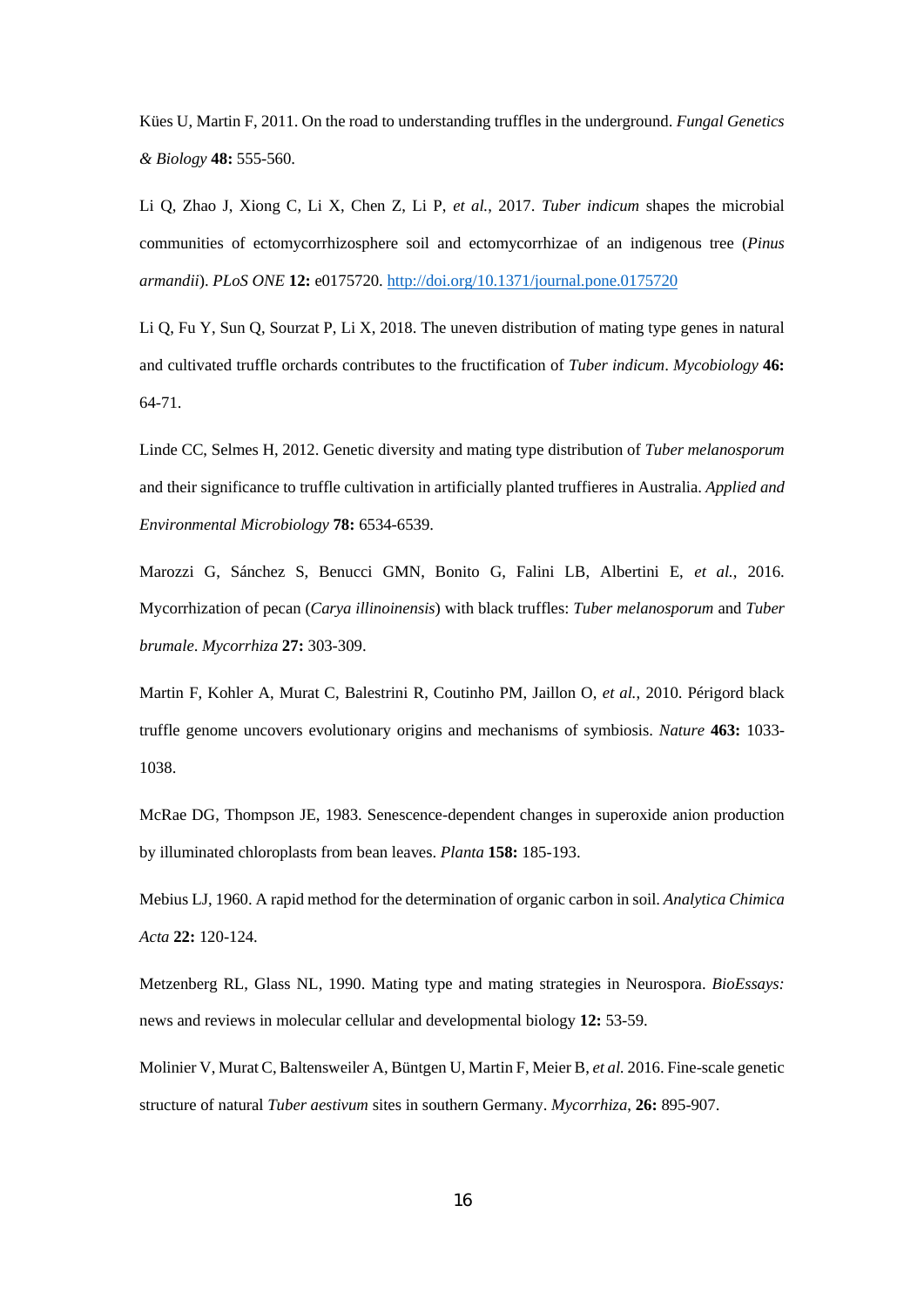Kües U, Martin F, 2011. On the road to understanding truffles in the underground. *Fungal Genetics & Biology* **48:** 555-560.

Li Q, Zhao J, Xiong C, Li X, Chen Z, Li P, *et al.*, 2017. *Tuber indicum* shapes the microbial communities of ectomycorrhizosphere soil and ectomycorrhizae of an indigenous tree (*Pinus armandii*). *PLoS ONE* **12:** e0175720.<http://doi.org/10.1371/journal.pone.0175720>

Li Q, Fu Y, Sun Q, Sourzat P, Li X, 2018. The uneven distribution of mating type genes in natural and cultivated truffle orchards contributes to the fructification of *Tuber indicum*. *Mycobiology* **46:** 64-71.

Linde CC, Selmes H, 2012. Genetic diversity and mating type distribution of *Tuber melanosporum* and their significance to truffle cultivation in artificially planted truffieres in Australia. *Applied and Environmental Microbiology* **78:** 6534-6539.

Marozzi G, Sánchez S, Benucci GMN, Bonito G, Falini LB, Albertini E, *et al.*, 2016. Mycorrhization of pecan (*Carya illinoinensis*) with black truffles: *Tuber melanosporum* and *Tuber brumale*. *Mycorrhiza* **27:** 303-309.

Martin F, Kohler A, Murat C, Balestrini R, Coutinho PM, Jaillon O, *et al.*, 2010. Périgord black truffle genome uncovers evolutionary origins and mechanisms of symbiosis. *Nature* **463:** 1033- 1038.

McRae DG, Thompson JE, 1983. Senescence-dependent changes in superoxide anion production by illuminated chloroplasts from bean leaves. *Planta* **158:** 185-193.

Mebius LJ, 1960. A rapid method for the determination of organic carbon in soil. *Analytica Chimica Acta* **22:** 120-124.

Metzenberg RL, Glass NL, 1990. Mating type and mating strategies in Neurospora. *BioEssays:* news and reviews in molecular cellular and developmental biology **12:** 53-59.

Molinier V, Murat C, Baltensweiler A, Büntgen U, Martin F, Meier B, *et al.* 2016. Fine-scale genetic structure of natural *Tuber aestivum* sites in southern Germany. *Mycorrhiza*, **26:** 895-907.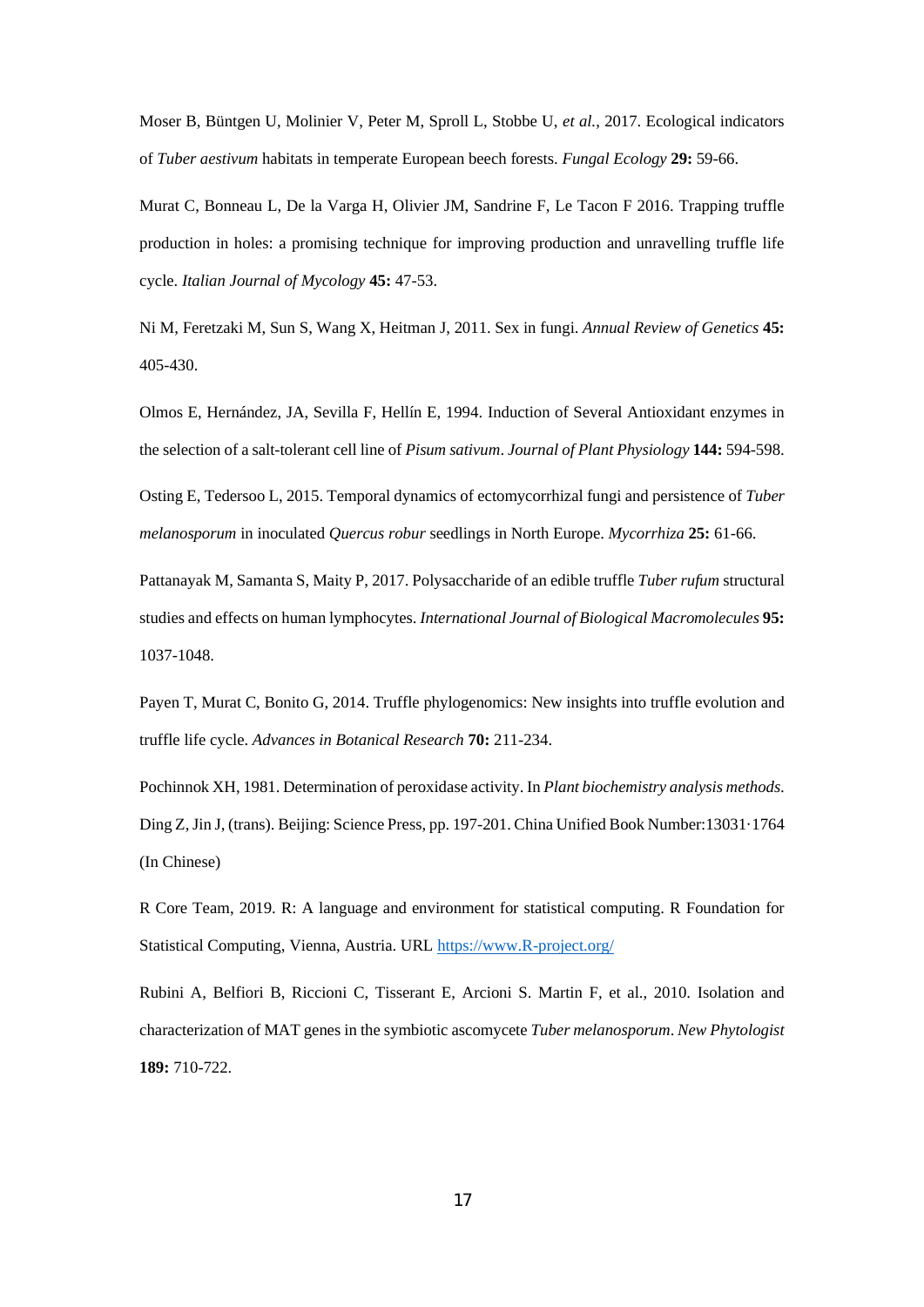Moser B, Büntgen U, Molinier V, Peter M, Sproll L, Stobbe U, *et al.*, 2017. Ecological indicators of *Tuber aestivum* habitats in temperate European beech forests. *Fungal Ecology* **29:** 59-66.

Murat C, Bonneau L, De la Varga H, Olivier JM, Sandrine F, Le Tacon F 2016. Trapping truffle production in holes: a promising technique for improving production and unravelling truffle life cycle. *Italian Journal of Mycology* **45:** 47-53.

Ni M, Feretzaki M, Sun S, Wang X, Heitman J, 2011. Sex in fungi. *Annual Review of Genetics* **45:** 405-430.

Olmos E, Hernández, JA, Sevilla F, Hellín E, 1994. Induction of Several Antioxidant enzymes in the selection of a salt-tolerant cell line of *Pisum sativum*. *Journal of Plant Physiology* **144:** 594-598.

Osting E, Tedersoo L, 2015. Temporal dynamics of ectomycorrhizal fungi and persistence of *Tuber melanosporum* in inoculated *Quercus robur* seedlings in North Europe. *Mycorrhiza* **25:** 61-66.

Pattanayak M, Samanta S, Maity P, 2017. Polysaccharide of an edible truffle *Tuber rufum* structural studies and effects on human lymphocytes. *International Journal of Biological Macromolecules* **95:** 1037-1048.

Payen T, Murat C, Bonito G, 2014. Truffle phylogenomics: New insights into truffle evolution and truffle life cycle. *Advances in Botanical Research* **70:** 211-234.

Pochinnok XH, 1981. Determination of peroxidase activity. In *Plant biochemistry analysis methods*. Ding Z,Jin J, (trans). Beijing: Science Press, pp. 197-201. China Unified Book Number:13031·1764 (In Chinese)

R Core Team, 2019. R: A language and environment for statistical computing. R Foundation for Statistical Computing, Vienna, Austria. URL [https://www.R-project.org/](https://www.r-project.org/)

Rubini A, Belfiori B, Riccioni C, Tisserant E, Arcioni S. Martin F, et al., 2010. Isolation and characterization of MAT genes in the symbiotic ascomycete *Tuber melanosporum*. *New Phytologist* **189:** 710-722.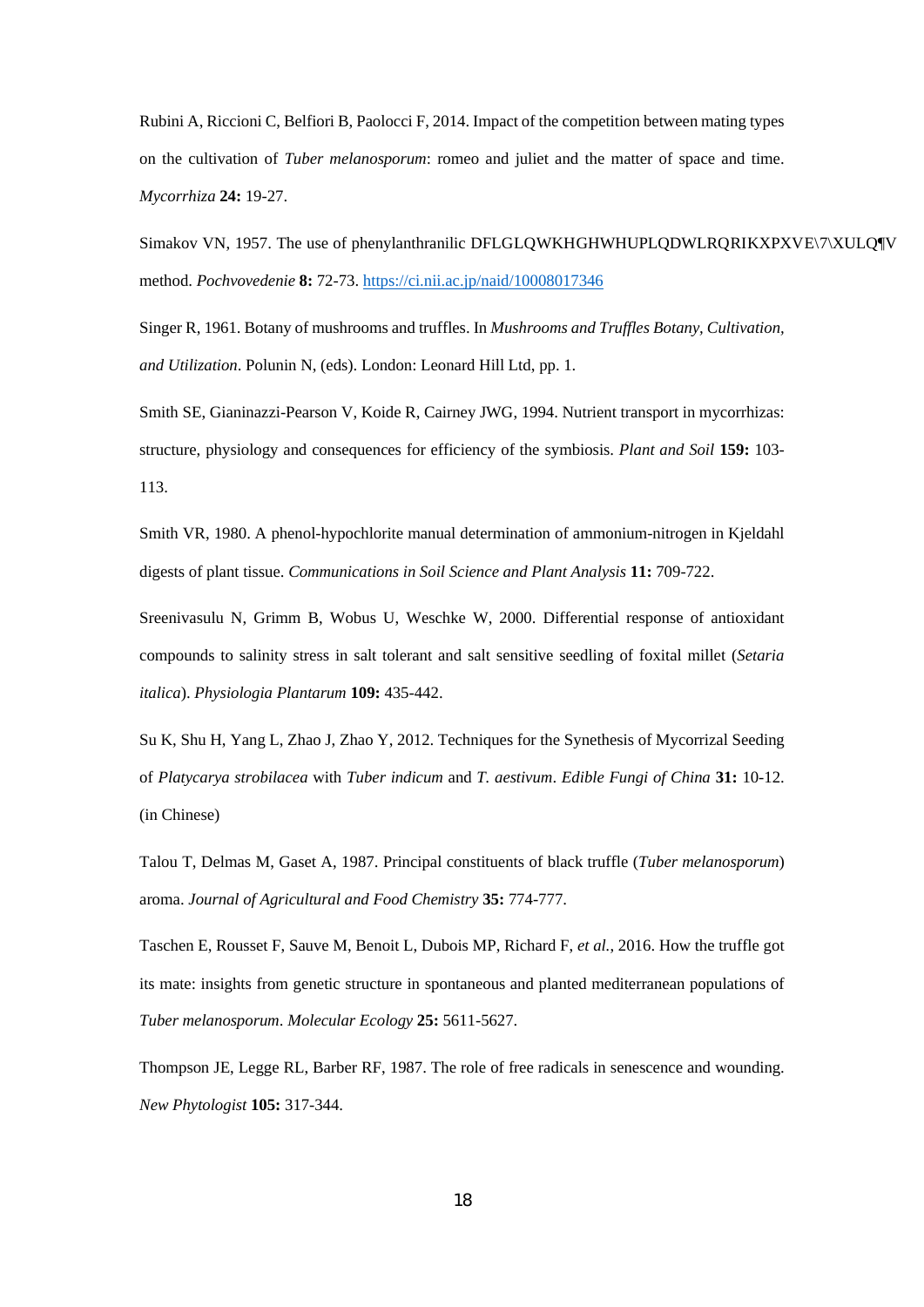Rubini A, Riccioni C, Belfiori B, Paolocci F, 2014. Impact of the competition between mating types on the cultivation of *Tuber melanosporum*: romeo and juliet and the matter of space and time. *Mycorrhiza* **24:** 19-27.

Simakov VN, 1957. The use of phenylanthranilic

method. *Pochvovedenie* **8:** 72-73.<https://ci.nii.ac.jp/naid/10008017346>

Singer R, 1961. Botany of mushrooms and truffles. In *Mushrooms and Truffles Botany, Cultivation, and Utilization*. Polunin N, (eds). London: Leonard Hill Ltd, pp. 1.

Smith SE, Gianinazzi-Pearson V, Koide R, Cairney JWG, 1994. Nutrient transport in mycorrhizas: structure, physiology and consequences for efficiency of the symbiosis. *Plant and Soil* **159:** 103- 113.

Smith VR, 1980. A phenol-hypochlorite manual determination of ammonium-nitrogen in Kjeldahl digests of plant tissue. *Communications in Soil Science and Plant Analysis* **11:** 709-722.

Sreenivasulu N, Grimm B, Wobus U, Weschke W, 2000. Differential response of antioxidant compounds to salinity stress in salt tolerant and salt sensitive seedling of foxital millet (*Setaria italica*). *Physiologia Plantarum* **109:** 435-442.

Su K, Shu H, Yang L, Zhao J, Zhao Y, 2012. Techniques for the Synethesis of Mycorrizal Seeding of *Platycarya strobilacea* with *Tuber indicum* and *T. aestivum*. *Edible Fungi of China* **31:** 10-12. (in Chinese)

Talou T, Delmas M, Gaset A, 1987. Principal constituents of black truffle (*Tuber melanosporum*) aroma. *Journal of Agricultural and Food Chemistry* **35:** 774-777.

Taschen E, Rousset F, Sauve M, Benoit L, Dubois MP, Richard F, *et al.*, 2016. How the truffle got its mate: insights from genetic structure in spontaneous and planted mediterranean populations of *Tuber melanosporum*. *Molecular Ecology* **25:** 5611-5627.

Thompson JE, Legge RL, Barber RF, 1987. The role of free radicals in senescence and wounding. *New Phytologist* **105:** 317-344.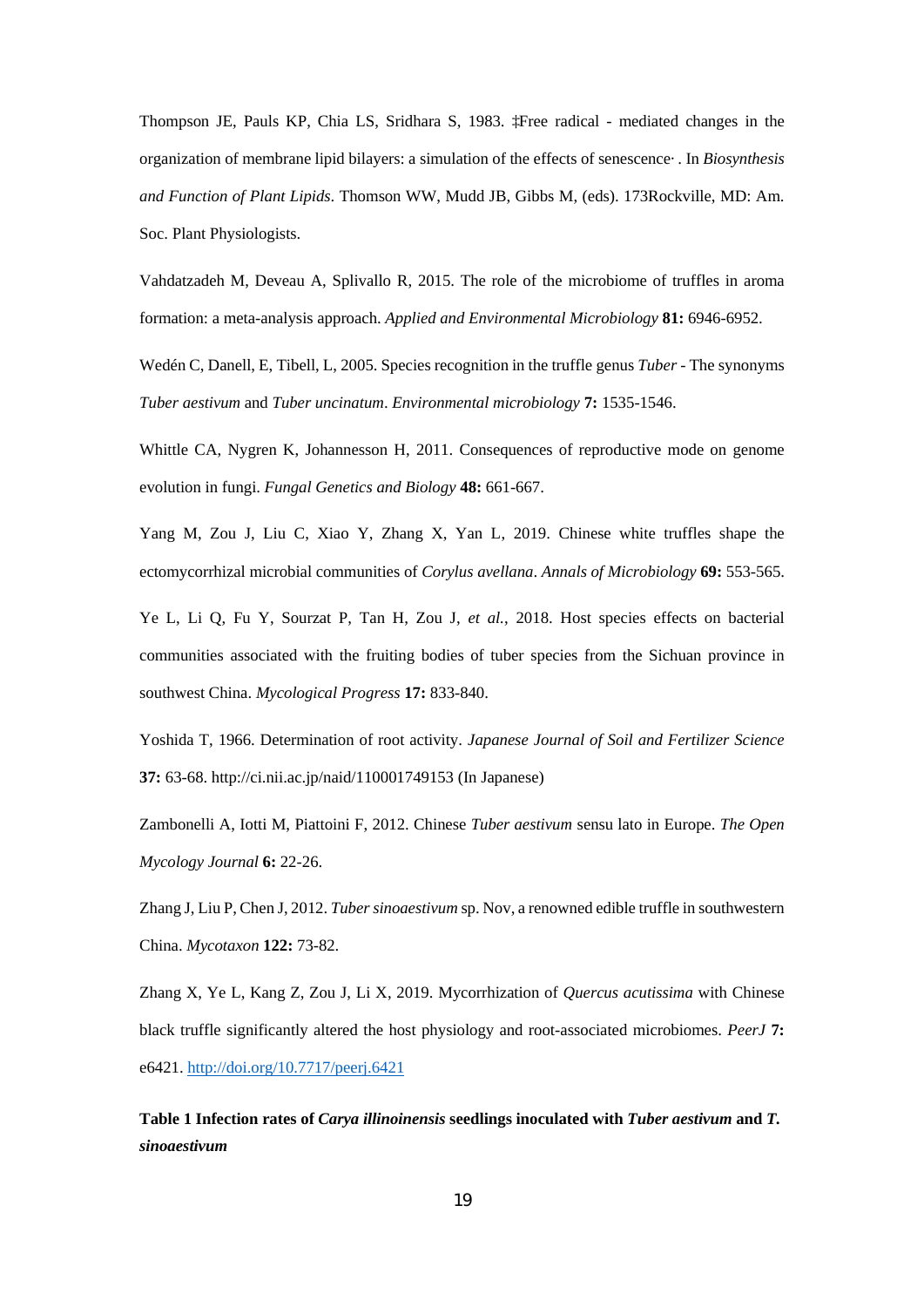Thompson JE, Pauls KP, Chia LS, Sridhara S, 1983. Free radical - mediated changes in the organization of membrane lipid bilayers: a simulation of the effects of senescence . In *Biosynthesis and Function of Plant Lipids*. Thomson WW, Mudd JB, Gibbs M, (eds). 173Rockville, MD: Am. Soc. Plant Physiologists.

Vahdatzadeh M, Deveau A, Splivallo R, 2015. The role of the microbiome of truffles in aroma formation: a meta-analysis approach. *Applied and Environmental Microbiology* **81:** 6946-6952.

Wedén C, Danell, E, Tibell, L, 2005. Species recognition in the truffle genus *Tuber* - The synonyms *Tuber aestivum* and *Tuber uncinatum*. *Environmental microbiology* **7:** 1535-1546.

Whittle CA, Nygren K, Johannesson H, 2011. Consequences of reproductive mode on genome evolution in fungi. *Fungal Genetics and Biology* **48:** 661-667.

Yang M, Zou J, Liu C, Xiao Y, Zhang X, Yan L, 2019. Chinese white truffles shape the ectomycorrhizal microbial communities of *Corylus avellana*. *Annals of Microbiology* **69:** 553-565.

Ye L, Li Q, Fu Y, Sourzat P, Tan H, Zou J, *et al.*, 2018. Host species effects on bacterial communities associated with the fruiting bodies of tuber species from the Sichuan province in southwest China. *Mycological Progress* **17:** 833-840.

Yoshida T, 1966. Determination of root activity. *Japanese Journal of Soil and Fertilizer Science* **37:** 63-68. http://ci.nii.ac.jp/naid/110001749153 (In Japanese)

Zambonelli A, Iotti M, Piattoini F, 2012. Chinese *Tuber aestivum* sensu lato in Europe. *The Open Mycology Journal* **6:** 22-26.

Zhang J, Liu P, Chen J, 2012. *Tuber sinoaestivum* sp. Nov, a renowned edible truffle in southwestern China. *Mycotaxon* **122:** 73-82.

Zhang X, Ye L, Kang Z, Zou J, Li X, 2019. Mycorrhization of *Quercus acutissima* with Chinese black truffle significantly altered the host physiology and root-associated microbiomes. *PeerJ* **7:** e6421.<http://doi.org/10.7717/peerj.6421>

**Table 1 Infection rates of** *Carya illinoinensis* **seedlings inoculated with** *Tuber aestivum* **and** *T. sinoaestivum*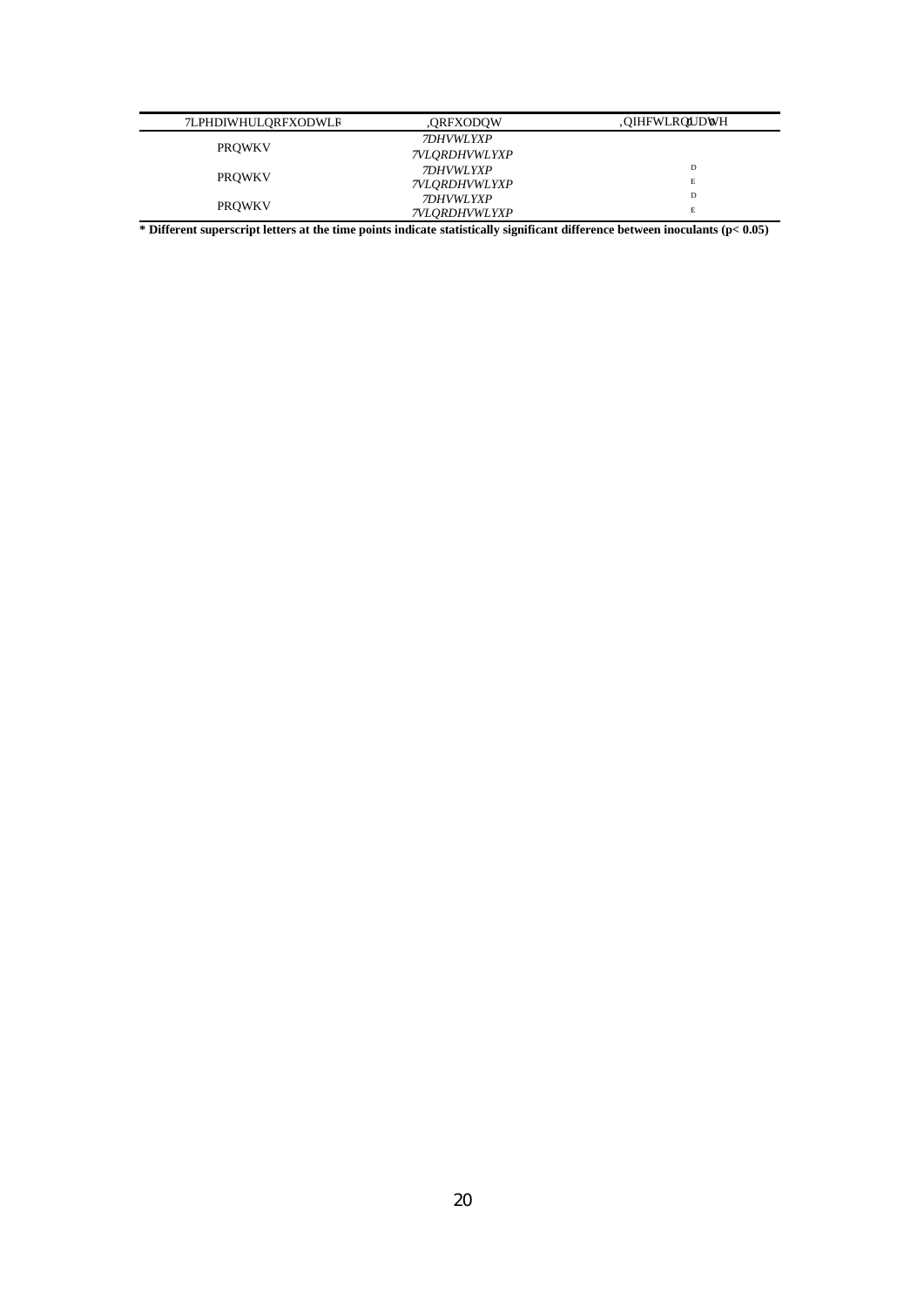**\* Different superscript letters at the time points indicate statistically significant difference between inoculants (p< 0.05)**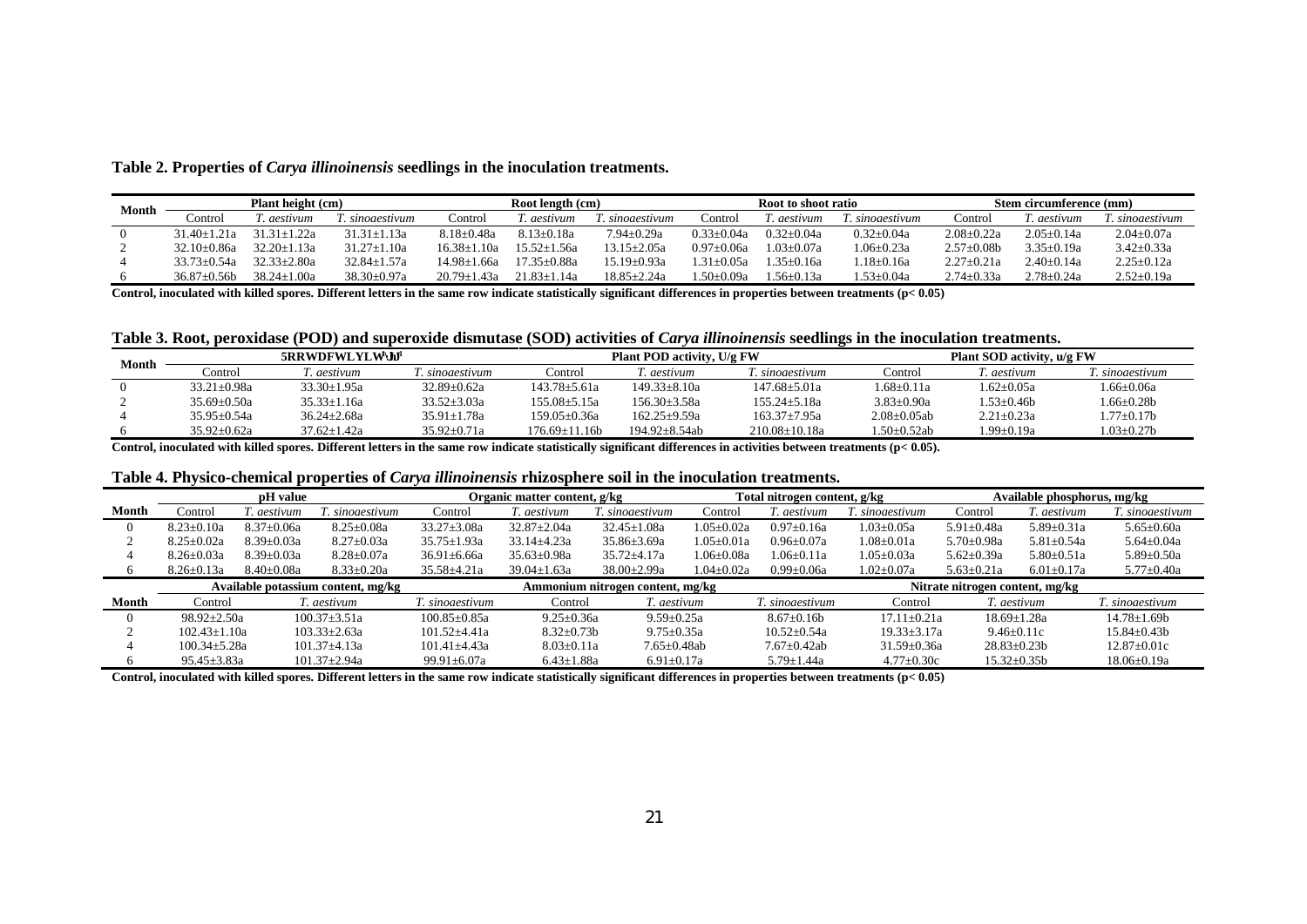| Month | Plant height (cm) |                 |                 | Root length (cm)    |                 |                        | Root to shoot ratio |               |                  | Stem circumference (mm) |                |                  |
|-------|-------------------|-----------------|-----------------|---------------------|-----------------|------------------------|---------------------|---------------|------------------|-------------------------|----------------|------------------|
|       | `ontrol           | . aestivum      | sinoaestivum    | Control             | aestivum        | sinoaestivum           | Control             | aestivum      | sinoaestivum     | .`ontrol                | aestivum       | sinoaestivum     |
|       | $31.40 + 1.21a$   | $31.31 + 1.22a$ | $31.31 + 1.13a$ | 8.18+0.48a          | $8.13 + 0.18a$  | <sup>7</sup> .94±0.29a | $0.33+0.04a$        | $0.32+0.04a$  | $0.32 \pm 0.04a$ | $2.08 + 0.22a$          | $2.05+0.14a$   | $2.04 \pm 0.07a$ |
|       | $32.10 + 0.86a$   | $32.20 + 1.13a$ | $31.27 + 1.10a$ | $16.38 + 1$<br>.10a | $15.52 + 1.56a$ | 13.15+2.05a            | $0.97 + 0.06a$      | $.03 + 0.07a$ | 1.06+0.23a       | $2.57+0.08h$            | $3.35+0.19a$   | $3.42 \pm 0.33a$ |
|       | $33.73 + 0.54a$   | $32.33 + 2.80a$ | $32.84 + 1.57a$ | 14.98+1.66а         | $7.35 + 0.88a$  | $15.19 + 0.93a$        | $-31+0.05a$         | $.35+0.16a$   | $.18 + 0.16a$    | $2.27+0.21a$            | $2.40+0.14a$   | $2.25 \pm 0.12a$ |
|       | $36.87 + 0.56$    | $38.24 + 1.00a$ | $38.30 + 0.97a$ | $20.79 + 1.43a$     | $21.83 + 1.14a$ | $18.85 + 2.24a$        | $.50+0.09a$         | $.56+0.13a$   | $.53+0.04a$      | $2.74 + 0.33a$          | $2.78 + 0.24a$ | 2.52±0.19a       |

**Table 2. Properties of** *Carya illinoinensis* **seedlings in the inoculation treatments.**

**Control, inoculated with killed spores. Different letters in the same row indicate statistically significant differences in properties between treatments (p< 0.05)**

**Table 3. Root, peroxidase (POD) and superoxide dismutase (SOD) activities of** *Carya illinoinensis* **seedlings in the inoculation treatments.**

| Month |                   |                 | ․ւել              |                    | Plant POD activity, U/g FW |                   | Plant SOD activity, u/g FW |                  |                        |  |
|-------|-------------------|-----------------|-------------------|--------------------|----------------------------|-------------------|----------------------------|------------------|------------------------|--|
|       | $\bigcirc$ ontrol | <i>aestivum</i> | sinoaestivum      | Control            | <i>aestivum</i>            | sinoaestivum      | Control                    | . aestivum       | <i>T. sinoaestivum</i> |  |
|       | $33.21 \pm 0.98a$ | $33.30 + 1.95a$ | $32.89 \pm 0.62a$ | $143.78 \pm 5.61a$ | $149.33 + 8.10a$           | 147.68+5.01a      | $1.68 + 0.11a$             | $.62 + 0.05a$    | l.66±0.06a             |  |
|       | $35.69 + 0.50a$   | $35.33 + 1.16a$ | $33.52 \pm 3.03a$ | $155.08 + 5.15a$   | $156.30 + 3.58a$           | $155.24 + 5.18a$  | $3.83 \pm 0.90a$           | $1.53 + 0.46$ b  | 1.66+0.28b             |  |
|       | $35.95 + 0.54a$   | $36.24 + 2.68a$ | $35.91 \pm 1.78a$ | 159.05+0.36a       | $162.25 + 9.59a$           | $163.37 + 7.95a$  | $2.08 \pm 0.05$ ab         | $2.21 \pm 0.23a$ | l.77±0.17b             |  |
|       | $35.92 + 0.62a$   | 37.62+1.42a     | $35.92+0.71a$     | $176.69 + 11.16b$  | $194.92 + 8.54ab$          | $210.08 + 10.18a$ | $.50+0.52ab$               | 1.99+0.19a       | 1.03+0.27b             |  |

**Control, inoculated with killed spores. Different letters in the same row indicate statistically significant differences in activities between treatments (p< 0.05).**

# **Table 4. Physico-chemical properties of** *Carya illinoinensis* **rhizosphere soil in the inoculation treatments.**

|          | pH value                           |                  |                                  | Organic matter content, g/kg |                   |                    | Total nitrogen content, g/kg    |                  |                   | Available phosphorus, mg/kg |                   |                    |
|----------|------------------------------------|------------------|----------------------------------|------------------------------|-------------------|--------------------|---------------------------------|------------------|-------------------|-----------------------------|-------------------|--------------------|
| Month    | `ontrol                            | aestivum         | sinoaestivum                     | Control                      | . aestivum        | ' sinoaestivum     | Control                         | <i>aestivum</i>  | 'sinoaestivum     | Control                     | ` aestivum        | '. sinoaestivum    |
| $\Omega$ | $8.23 \pm 0.10a$                   | $8.37 \pm 0.06a$ | $8.25 \pm 0.08a$                 | $33.27 \pm 3.08a$            | $32.87 \pm 2.04a$ | $32.45 \pm 1.08a$  | 1.05±0.02a                      | $0.97+0.16a$     | $1.03 \pm 0.05a$  | $5.91 \pm 0.48a$            | $5.89 \pm 0.31a$  | $5.65 \pm 0.60a$   |
|          | $8.25 + 0.02a$                     | $8.39 \pm 0.03a$ | $8.27+0.03a$                     | $35.75 + 1.93a$              | $33.14 + 4.23a$   | $35.86 \pm 3.69a$  | $1.05 + 0.01a$                  | $0.96 + 0.07a$   | $1.08 \pm 0.01a$  | $5.70 + 0.98a$              | $5.81 + 0.54a$    | $5.64 \pm 0.04a$   |
|          | $8.26 + 0.03a$                     | $8.39 \pm 0.03a$ | $8.28 \pm 0.07a$                 | $36.91 \pm 6.66a$            | $35.63 \pm 0.98a$ | $35.72 \pm 4.17a$  | 1.06±0.08a                      | $1.06 + 0.11a$   | $1.05 \pm 0.03a$  | $5.62 \pm 0.39a$            | $5.80 \pm 0.51a$  | $5.89 \pm 0.50a$   |
|          | $8.26 \pm 0.13a$                   | $8.40 \pm 0.08a$ | $8.33 \pm 0.20a$                 | $35.58 \pm 4.21a$            | $39.04 \pm 1.63a$ | $38.00 \pm 2.99a$  | $1.04 + 0.02a$                  | $0.99 \pm 0.06a$ | $1.02 \pm 0.07a$  | $5.63 \pm 0.21a$            | $6.01 \pm 0.17a$  | $5.77 \pm 0.40a$   |
|          | Available potassium content, mg/kg |                  | Ammonium nitrogen content, mg/kg |                              |                   |                    | Nitrate nitrogen content, mg/kg |                  |                   |                             |                   |                    |
| Month    | Control                            |                  | aestivum.                        | sinoaestivum'.               | Control           | T. aestivum        |                                 | sinoaestivum     | Control           |                             | T. aestivum       | T. sinoaestivum    |
| $\Omega$ | $98.92 \pm 2.50a$                  |                  | $100.37 \pm 3.51a$               | $100.85 + 0.85a$             | $9.25 \pm 0.36a$  | $9.59 \pm 0.25a$   |                                 | $8.67+0.16h$     | $17.11 + 0.21a$   |                             | $18.69 \pm 1.28a$ | $14.78 \pm 1.69 b$ |
|          | $102.43 \pm 1.10a$                 |                  | $103.33 \pm 2.63a$               | $101.52 + 4.41a$             | $8.32 \pm 0.73b$  | $9.75 \pm 0.35a$   |                                 | $10.52 + 0.54a$  | $19.33 \pm 3.17a$ |                             | $9.46 + 0.11c$    | $15.84 \pm 0.43 b$ |
|          | $100.34 \pm 5.28a$                 |                  | $101.37 + 4.13a$                 | $101.41 \pm 4.43a$           | $8.03 \pm 0.11a$  | $7.65 \pm 0.48$ ab |                                 | $7.67+0.42ab$    | $31.59 \pm 0.36a$ |                             | $28.83 \pm 0.23b$ | $12.87 \pm 0.01c$  |
|          | $95.45 \pm 3.83a$                  |                  | $101.37 \pm 2.94a$               | 99.91 $\pm$ 6.07a            | $6.43 \pm 1.88a$  | $6.91 \pm 0.17a$   |                                 | $5.79 \pm 1.44a$ | $4.77 \pm 0.30c$  |                             | $15.32 \pm 0.35b$ | $18.06 \pm 0.19a$  |

**Control, inoculated with killed spores. Different letters in the same row indicate statistically significant differences in properties between treatments (p< 0.05)**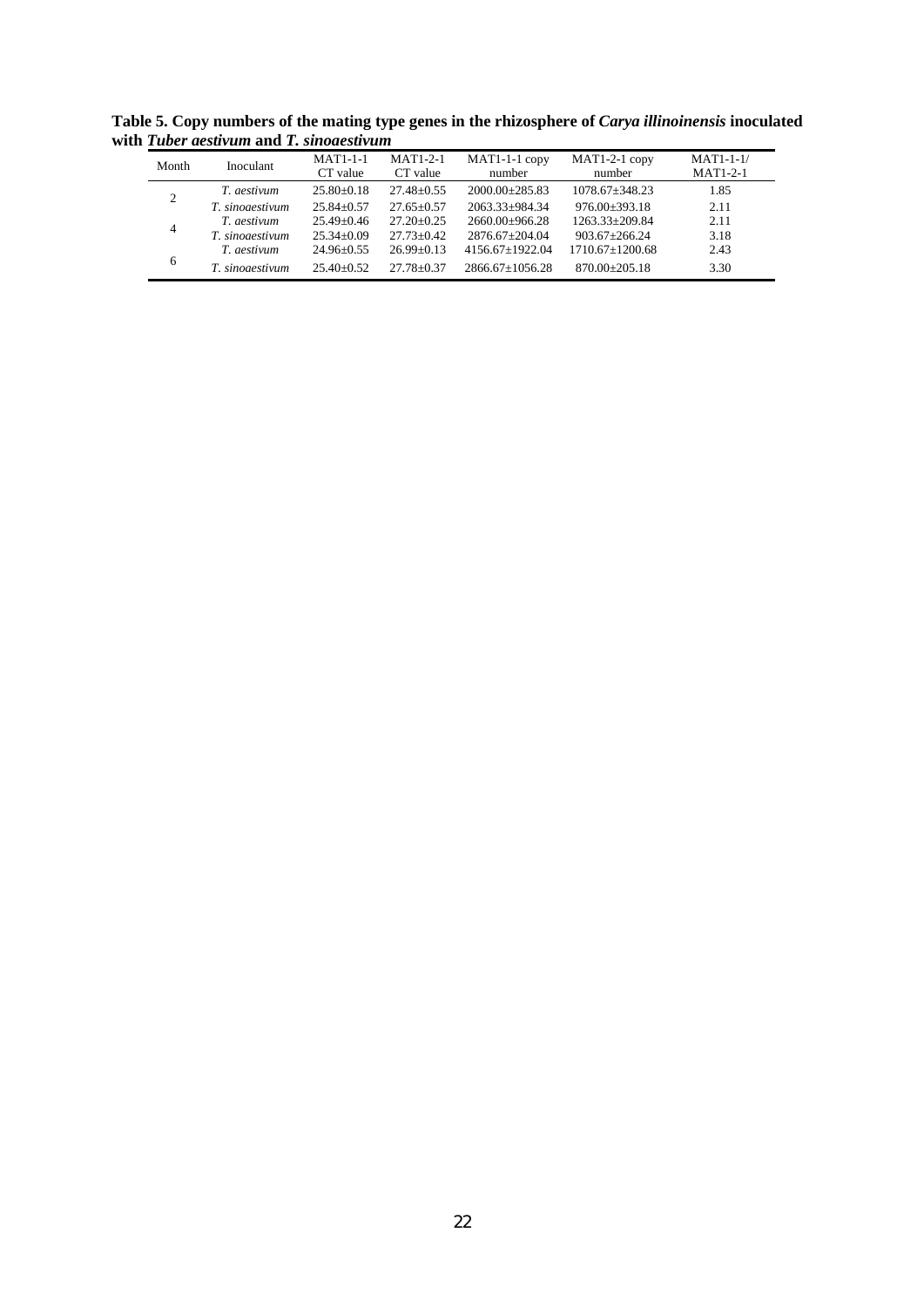**Table 5. Copy numbers of the mating type genes in the rhizosphere of** *Carya illinoinensis* **inoculated with** *Tuber aestivum* **and** *T. sinoaestivum*

| Month          | Inoculant              | $MAT1-1-1$<br>CT value | $MAT1-2-1$<br>CT value | $MAT1-1-1$ copy<br>number | $MAT1-2-1$ copy<br>number | $MAT1-1-1/$<br>$MAT1-2-1$ |
|----------------|------------------------|------------------------|------------------------|---------------------------|---------------------------|---------------------------|
| $\overline{2}$ | <i>T. aestivum</i>     | $25.80 + 0.18$         | $27.48 \pm 0.55$       | $2000.00+285.83$          | $1078.67 + 348.23$        | 1.85                      |
|                | <i>T. sinogestivum</i> | $25.84 + 0.57$         | $27.65 + 0.57$         | 2063.33+984.34            | $976.00 + 393.18$         | 2.11                      |
| $\overline{4}$ | <i>T. aestivum</i>     | $25.49 + 0.46$         | $27.20 + 0.25$         | $2660.00+966.28$          | 1263.33+209.84            | 2.11                      |
|                | <i>T. sinogestivum</i> | $25.34 \pm 0.09$       | $27.73 \pm 0.42$       | 2876.67±204.04            | $903.67 + 266.24$         | 3.18                      |
| 6              | <i>T. aestivum</i>     | $24.96 + 0.55$         | $26.99 + 0.13$         | 4156.67+1922.04           | 1710.67+1200.68           | 2.43                      |
|                | <i>T. sinogestivum</i> | $25.40 + 0.52$         | $27.78 + 0.37$         | $2866.67 \pm 1056.28$     | $870.00 \pm 205.18$       | 3.30                      |